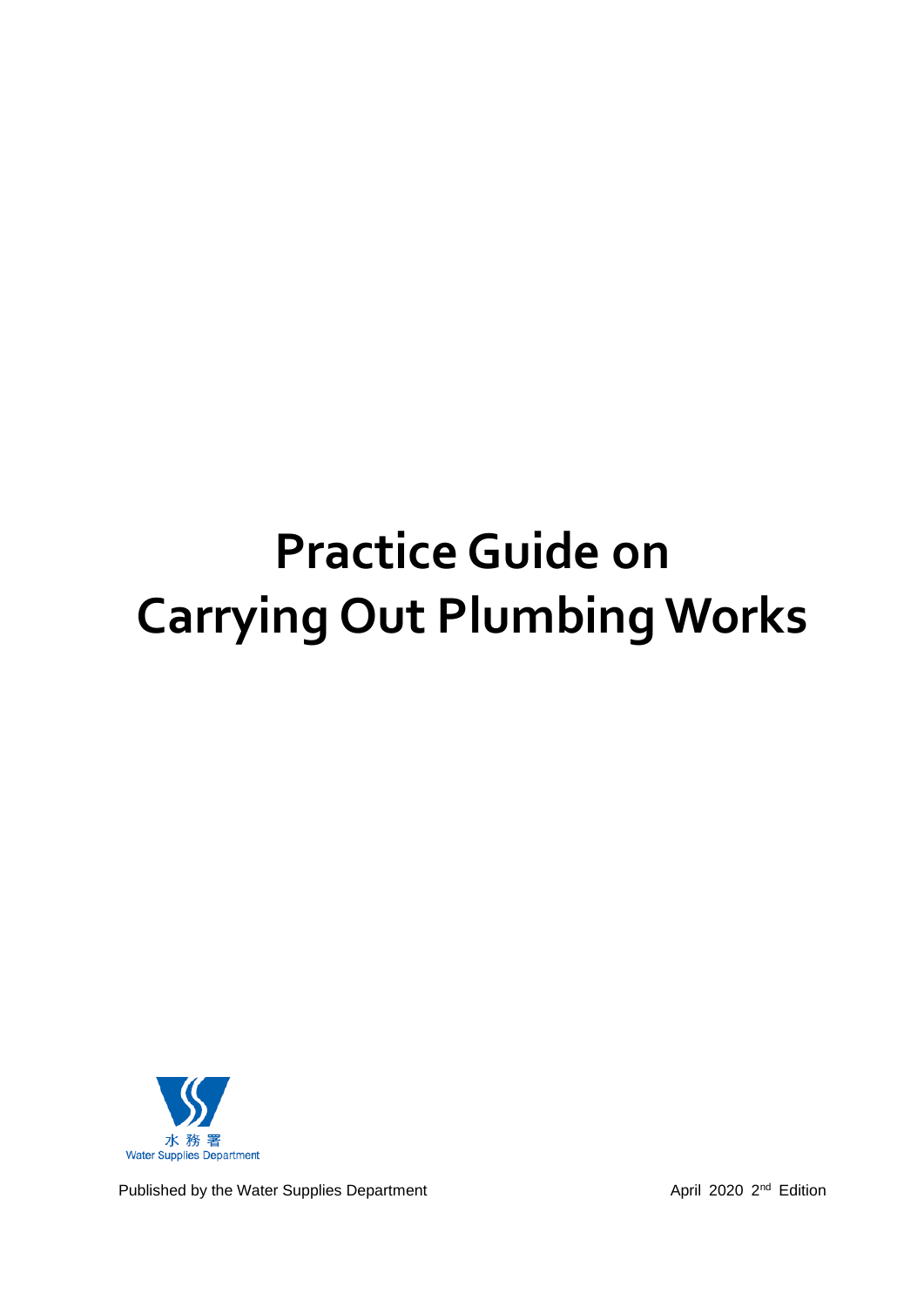# **Practice Guide on Carrying Out Plumbing Works**



Published by the Water Supplies Department April 2020 2<sup>nd</sup> Edition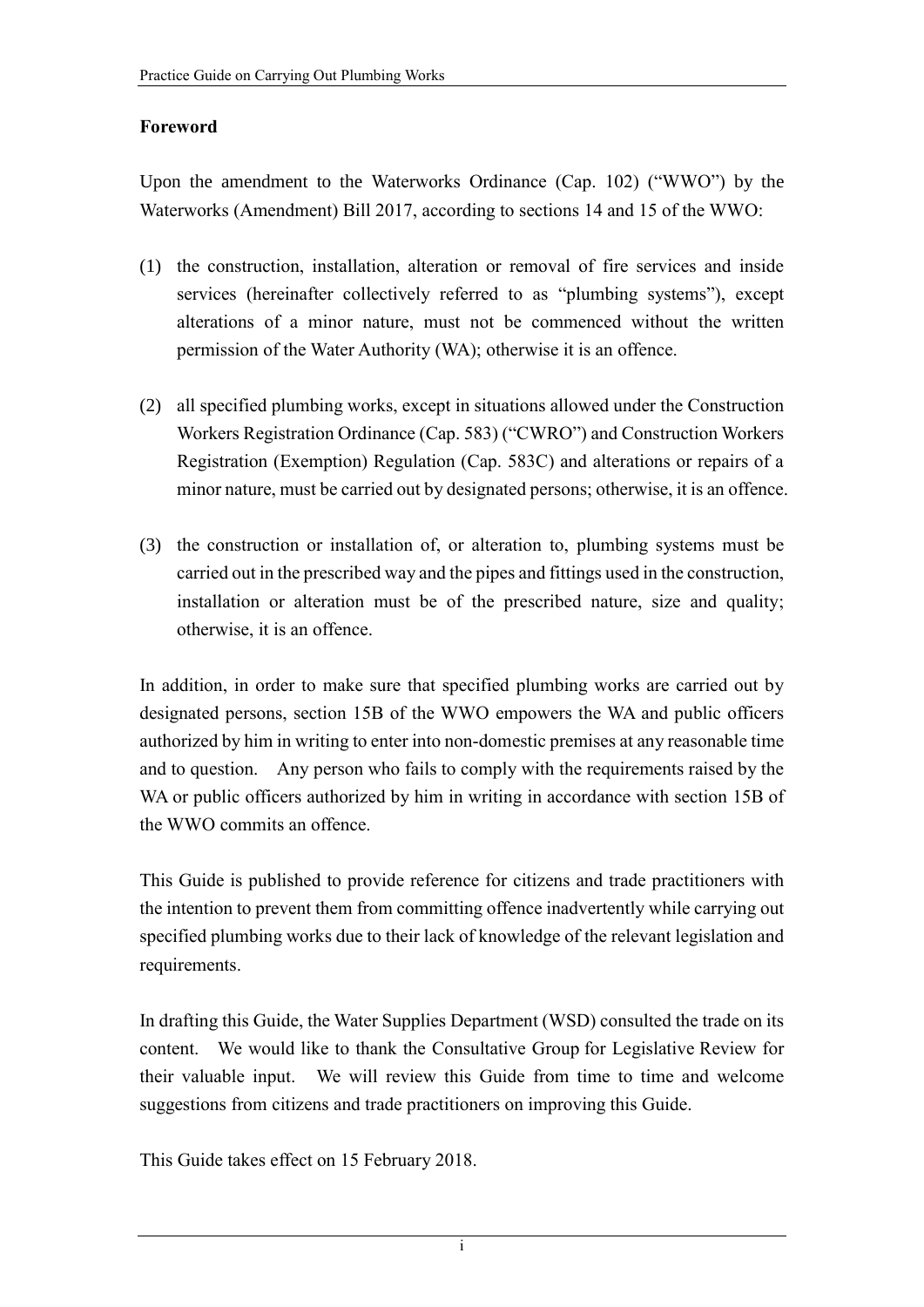## **Foreword**

Upon the amendment to the Waterworks Ordinance (Cap. 102) ("WWO") by the Waterworks (Amendment) Bill 2017, according to sections 14 and 15 of the WWO:

- (1) the construction, installation, alteration or removal of fire services and inside services (hereinafter collectively referred to as "plumbing systems"), except alterations of a minor nature, must not be commenced without the written permission of the Water Authority (WA); otherwise it is an offence.
- (2) all specified plumbing works, except in situations allowed under the Construction Workers Registration Ordinance (Cap. 583) ("CWRO") and Construction Workers Registration (Exemption) Regulation (Cap. 583C) and alterations or repairs of a minor nature, must be carried out by designated persons; otherwise, it is an offence.
- (3) the construction or installation of, or alteration to, plumbing systems must be carried out in the prescribed way and the pipes and fittings used in the construction, installation or alteration must be of the prescribed nature, size and quality; otherwise, it is an offence.

In addition, in order to make sure that specified plumbing works are carried out by designated persons, section 15B of the WWO empowers the WA and public officers authorized by him in writing to enter into non-domestic premises at any reasonable time and to question. Any person who fails to comply with the requirements raised by the WA or public officers authorized by him in writing in accordance with section 15B of the WWO commits an offence.

This Guide is published to provide reference for citizens and trade practitioners with the intention to prevent them from committing offence inadvertently while carrying out specified plumbing works due to their lack of knowledge of the relevant legislation and requirements.

In drafting this Guide, the Water Supplies Department (WSD) consulted the trade on its content. We would like to thank the Consultative Group for Legislative Review for their valuable input. We will review this Guide from time to time and welcome suggestions from citizens and trade practitioners on improving this Guide.

This Guide takes effect on 15 February 2018.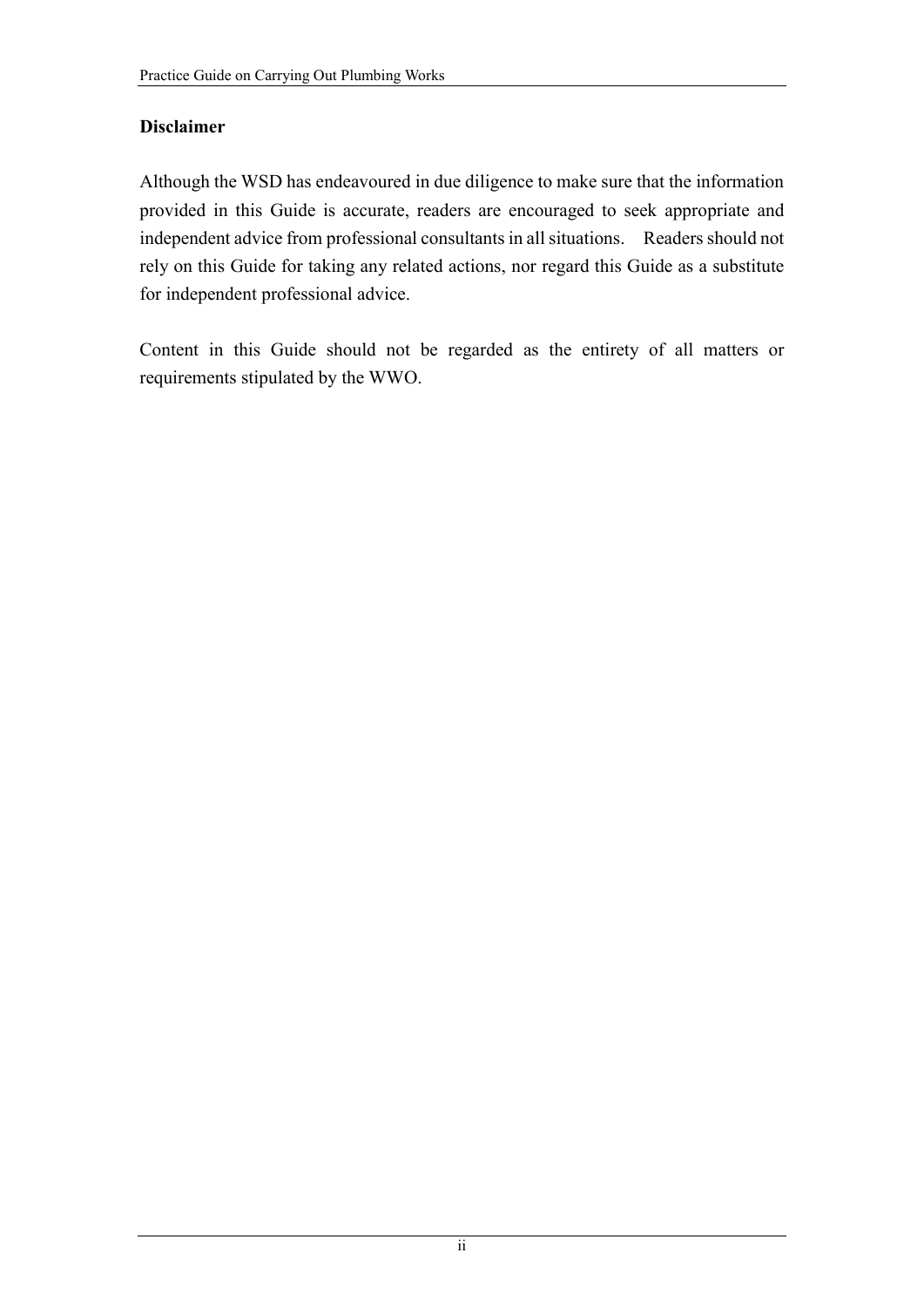## **Disclaimer**

Although the WSD has endeavoured in due diligence to make sure that the information provided in this Guide is accurate, readers are encouraged to seek appropriate and independent advice from professional consultants in all situations. Readers should not rely on this Guide for taking any related actions, nor regard this Guide as a substitute for independent professional advice.

Content in this Guide should not be regarded as the entirety of all matters or requirements stipulated by the WWO.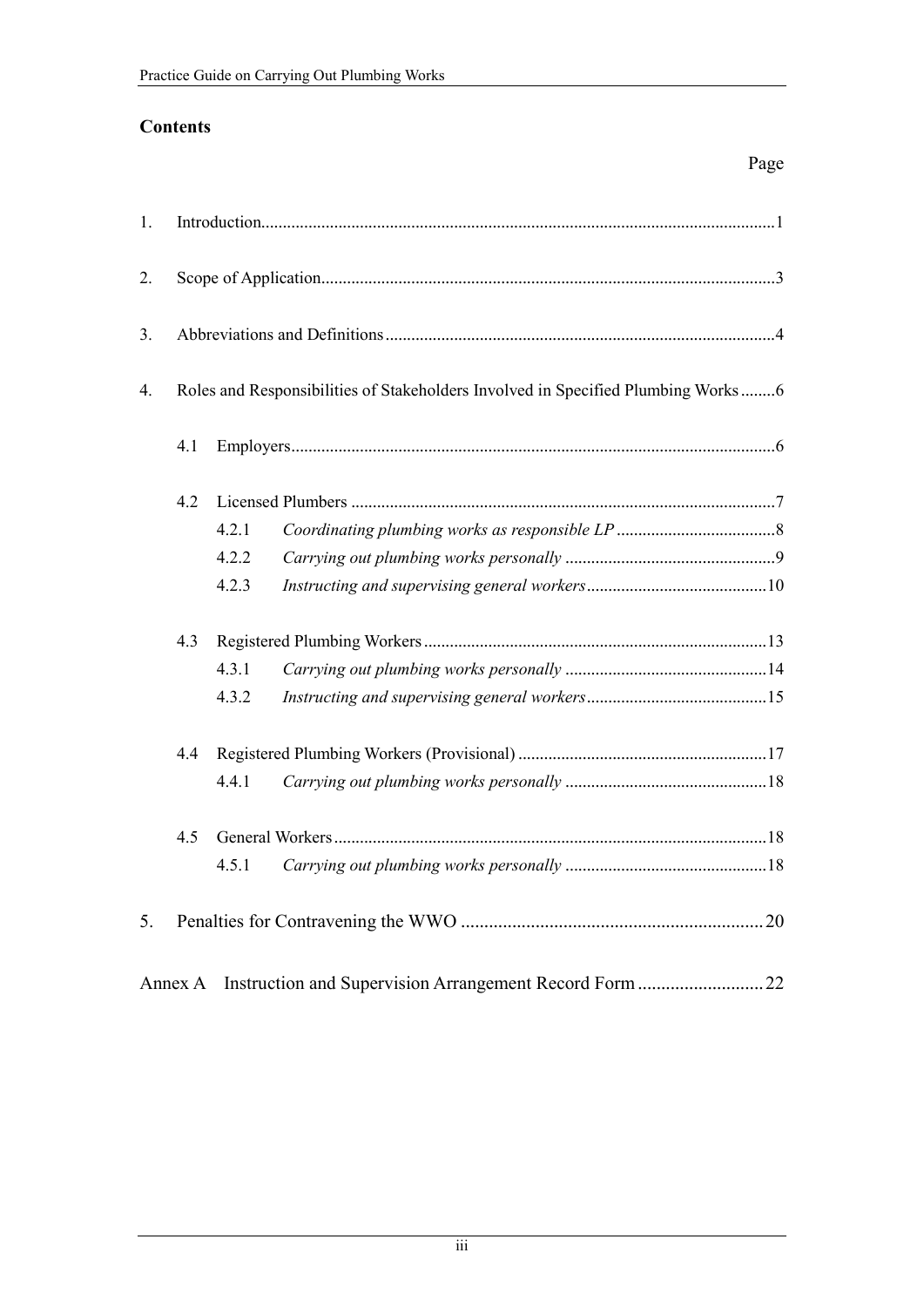## **Contents**

| 1.         |         |       |                                                                                  |
|------------|---------|-------|----------------------------------------------------------------------------------|
| 2.         |         |       |                                                                                  |
| 3.         |         |       |                                                                                  |
| 4.         |         |       | Roles and Responsibilities of Stakeholders Involved in Specified Plumbing Works6 |
| 4.1<br>4.2 |         |       |                                                                                  |
|            |         |       |                                                                                  |
|            |         | 4.2.1 |                                                                                  |
|            |         | 4.2.2 |                                                                                  |
|            |         | 4.2.3 |                                                                                  |
|            | 4.3     |       |                                                                                  |
|            |         | 4.3.1 |                                                                                  |
|            |         | 4.3.2 |                                                                                  |
|            | 4.4     |       |                                                                                  |
|            |         | 4.4.1 |                                                                                  |
| 4.5        |         |       |                                                                                  |
|            |         | 4.5.1 |                                                                                  |
| 5.         |         |       |                                                                                  |
|            | Annex A |       |                                                                                  |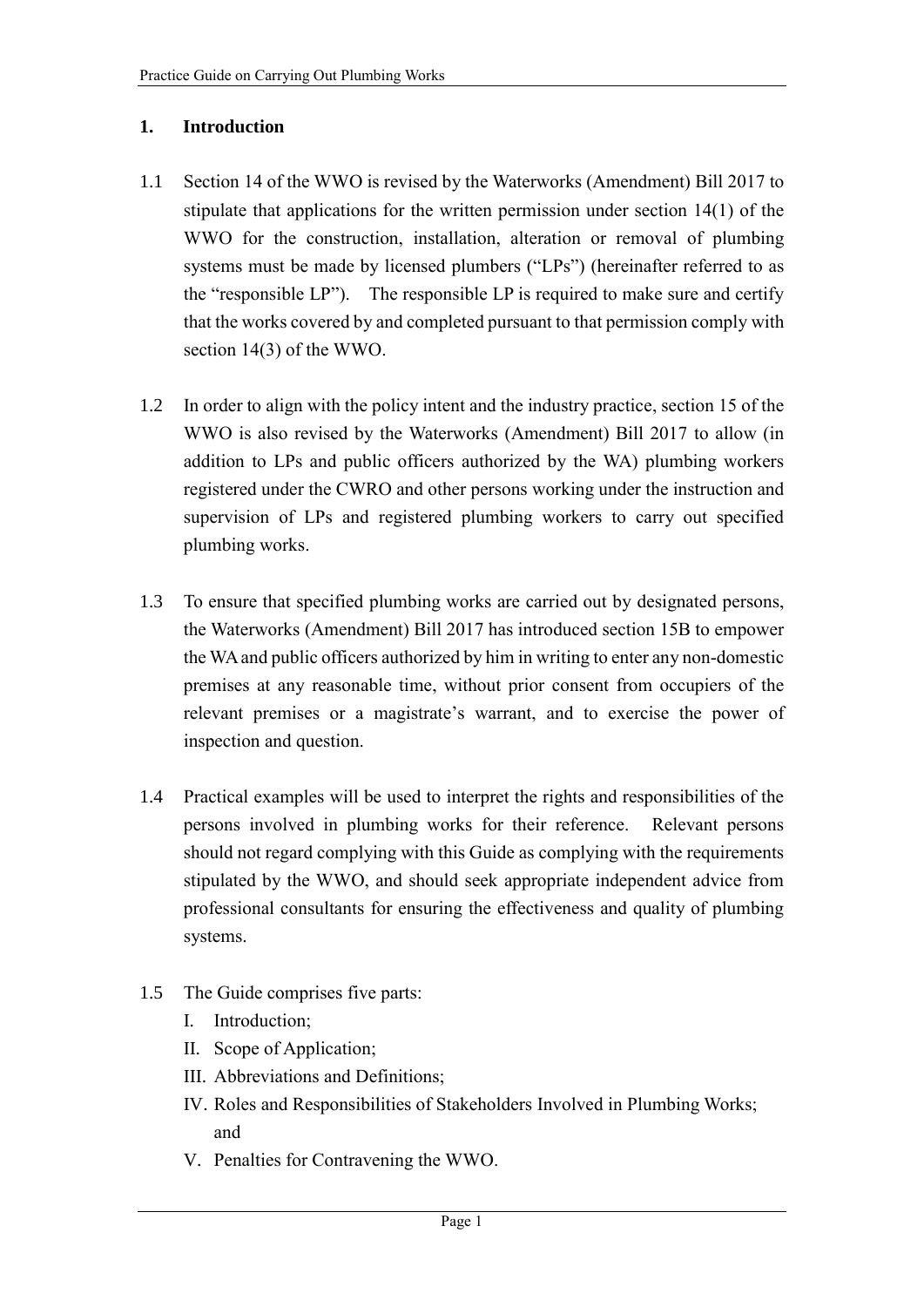## **1. Introduction**

- 1.1 Section 14 of the WWO is revised by the Waterworks (Amendment) Bill 2017 to stipulate that applications for the written permission under section 14(1) of the WWO for the construction, installation, alteration or removal of plumbing systems must be made by licensed plumbers ("LPs") (hereinafter referred to as the "responsible LP"). The responsible LP is required to make sure and certify that the works covered by and completed pursuant to that permission comply with section 14(3) of the WWO.
- 1.2 In order to align with the policy intent and the industry practice, section 15 of the WWO is also revised by the Waterworks (Amendment) Bill 2017 to allow (in addition to LPs and public officers authorized by the WA) plumbing workers registered under the CWRO and other persons working under the instruction and supervision of LPs and registered plumbing workers to carry out specified plumbing works.
- 1.3 To ensure that specified plumbing works are carried out by designated persons, the Waterworks (Amendment) Bill 2017 has introduced section 15B to empower the WA and public officers authorized by him in writing to enter any non-domestic premises at any reasonable time, without prior consent from occupiers of the relevant premises or a magistrate's warrant, and to exercise the power of inspection and question.
- 1.4 Practical examples will be used to interpret the rights and responsibilities of the persons involved in plumbing works for their reference. Relevant persons should not regard complying with this Guide as complying with the requirements stipulated by the WWO, and should seek appropriate independent advice from professional consultants for ensuring the effectiveness and quality of plumbing systems.
- 1.5 The Guide comprises five parts:
	- I. Introduction;
	- II. Scope of Application;
	- III. Abbreviations and Definitions;
	- IV. Roles and Responsibilities of Stakeholders Involved in Plumbing Works; and
	- V. Penalties for Contravening the WWO.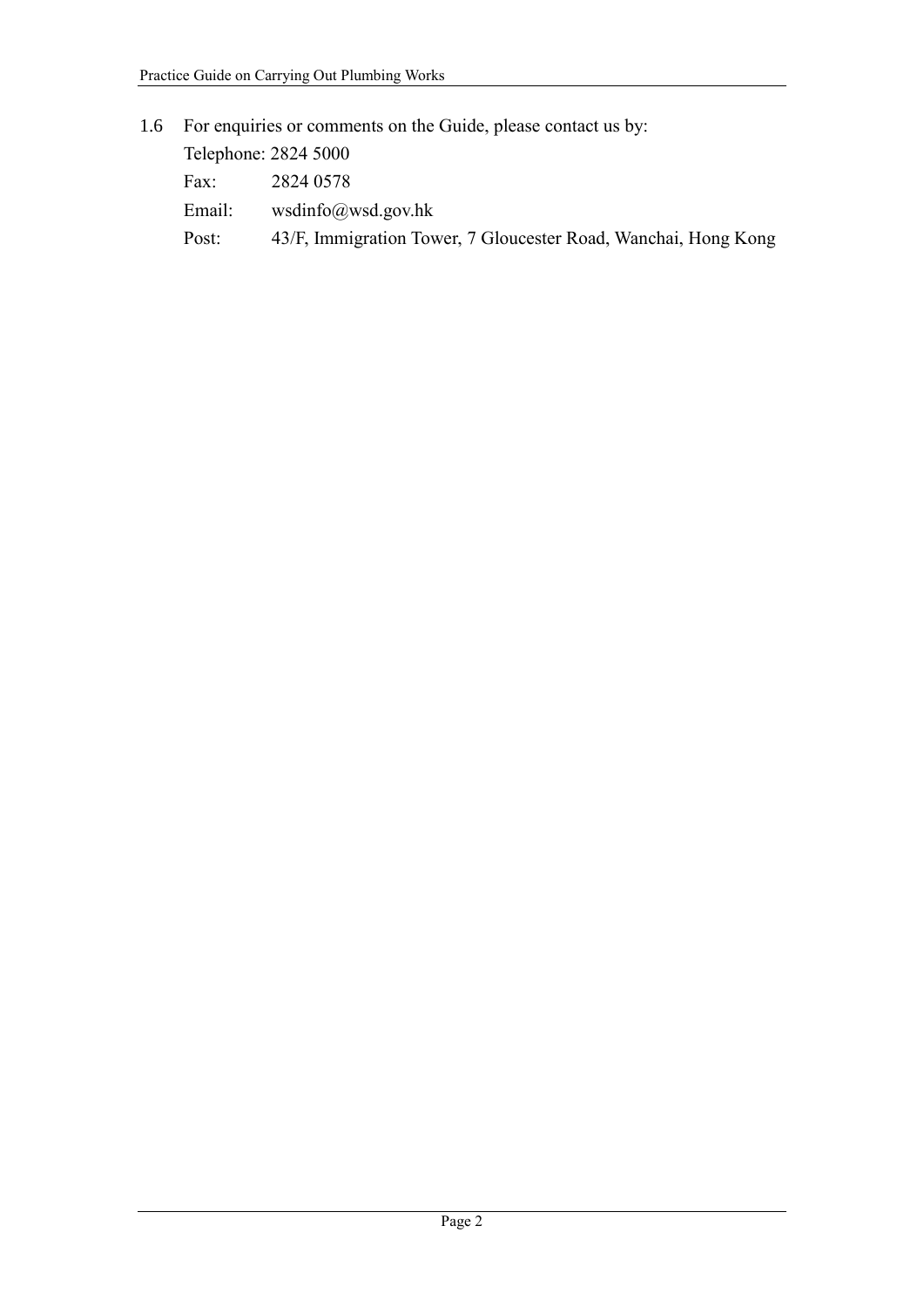# 1.6 For enquiries or comments on the Guide, please contact us by:

| Telephone: 2824 5000 |                                                                |
|----------------------|----------------------------------------------------------------|
| Fax:                 | 2824 0578                                                      |
| Email:               | wsdinfo@wsd.gov.hk                                             |
| Post:                | 43/F, Immigration Tower, 7 Gloucester Road, Wanchai, Hong Kong |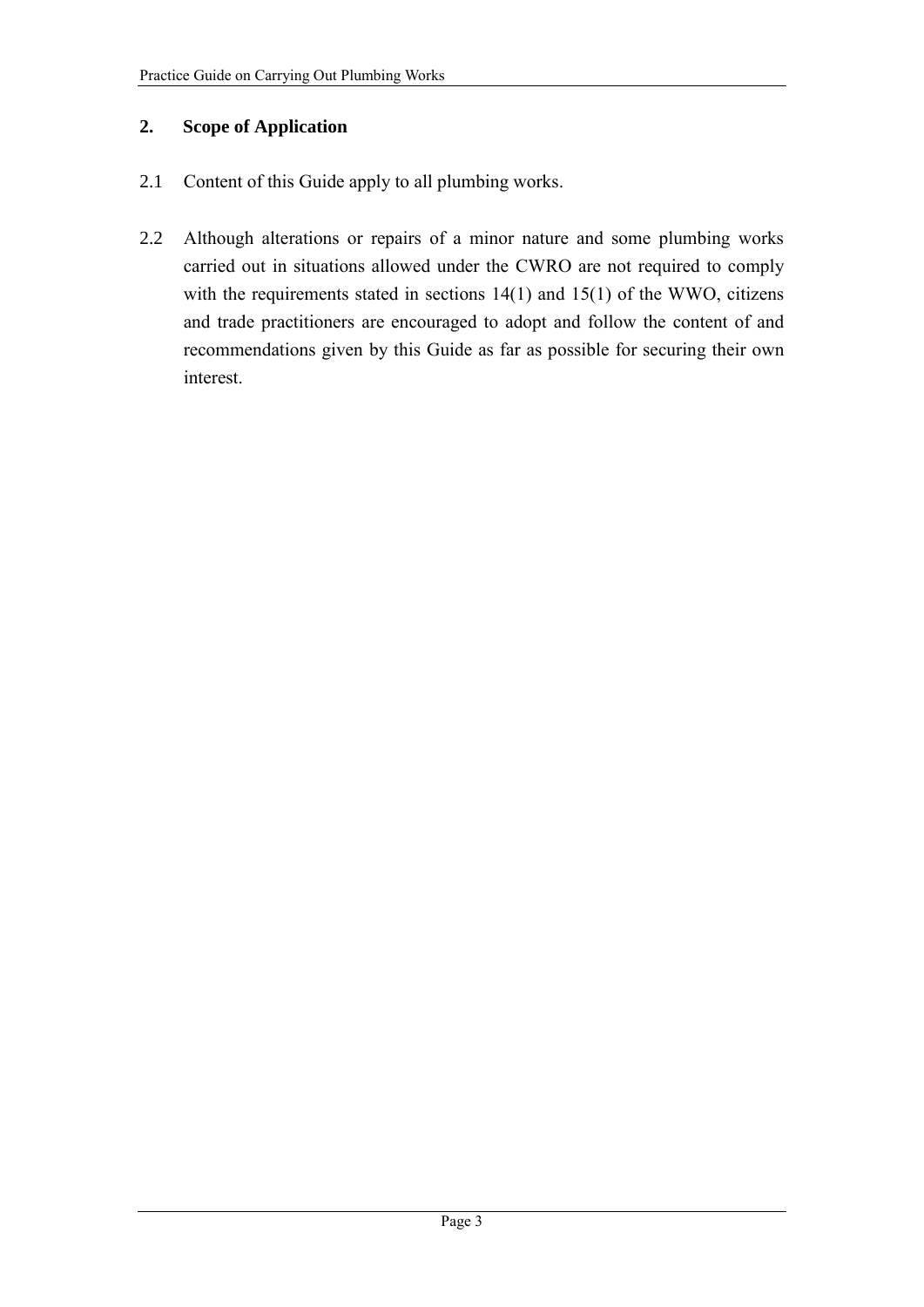## **2. Scope of Application**

- 2.1 Content of this Guide apply to all plumbing works.
- 2.2 Although alterations or repairs of a minor nature and some plumbing works carried out in situations allowed under the CWRO are not required to comply with the requirements stated in sections  $14(1)$  and  $15(1)$  of the WWO, citizens and trade practitioners are encouraged to adopt and follow the content of and recommendations given by this Guide as far as possible for securing their own interest.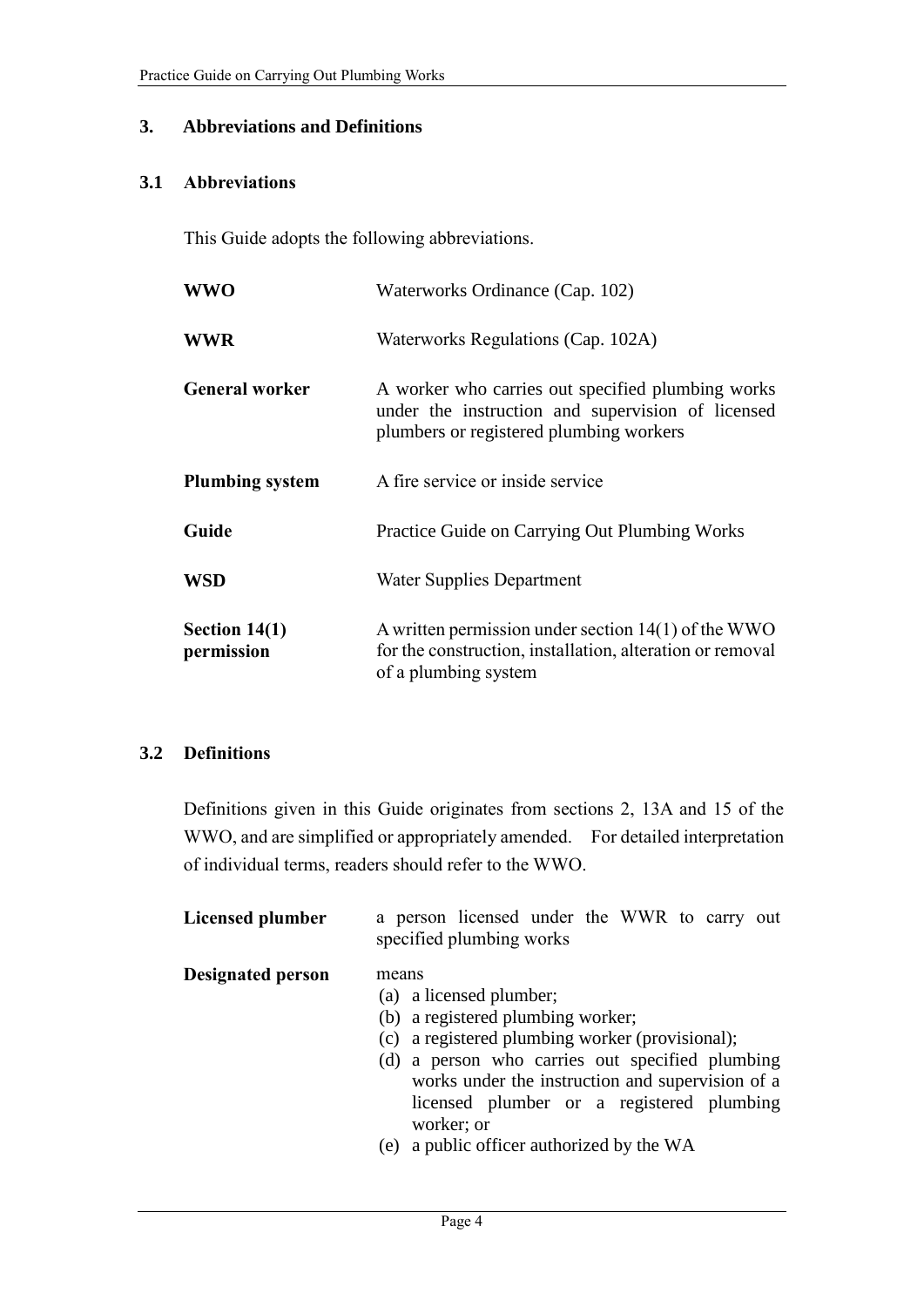#### **3. Abbreviations and Definitions**

#### **3.1 Abbreviations**

This Guide adopts the following abbreviations.

| <b>WWO</b>                    | Waterworks Ordinance (Cap. 102)                                                                                                                   |
|-------------------------------|---------------------------------------------------------------------------------------------------------------------------------------------------|
| <b>WWR</b>                    | Waterworks Regulations (Cap. 102A)                                                                                                                |
| <b>General worker</b>         | A worker who carries out specified plumbing works<br>under the instruction and supervision of licensed<br>plumbers or registered plumbing workers |
| <b>Plumbing system</b>        | A fire service or inside service                                                                                                                  |
| Guide                         | Practice Guide on Carrying Out Plumbing Works                                                                                                     |
| <b>WSD</b>                    | <b>Water Supplies Department</b>                                                                                                                  |
| Section $14(1)$<br>permission | A written permission under section $14(1)$ of the WWO<br>for the construction, installation, alteration or removal<br>of a plumbing system        |

## **3.2 Definitions**

Definitions given in this Guide originates from sections 2, 13A and 15 of the WWO, and are simplified or appropriately amended. For detailed interpretation of individual terms, readers should refer to the WWO.

| Licensed plumber         | a person licensed under the WWR to carry out<br>specified plumbing works                                                                                                                                                                                                                                                                |
|--------------------------|-----------------------------------------------------------------------------------------------------------------------------------------------------------------------------------------------------------------------------------------------------------------------------------------------------------------------------------------|
| <b>Designated person</b> | means<br>(a) a licensed plumber;<br>(b) a registered plumbing worker;<br>(c) a registered plumbing worker (provisional);<br>(d) a person who carries out specified plumbing<br>works under the instruction and supervision of a<br>licensed plumber or a registered plumbing<br>worker; or<br>(e) a public officer authorized by the WA |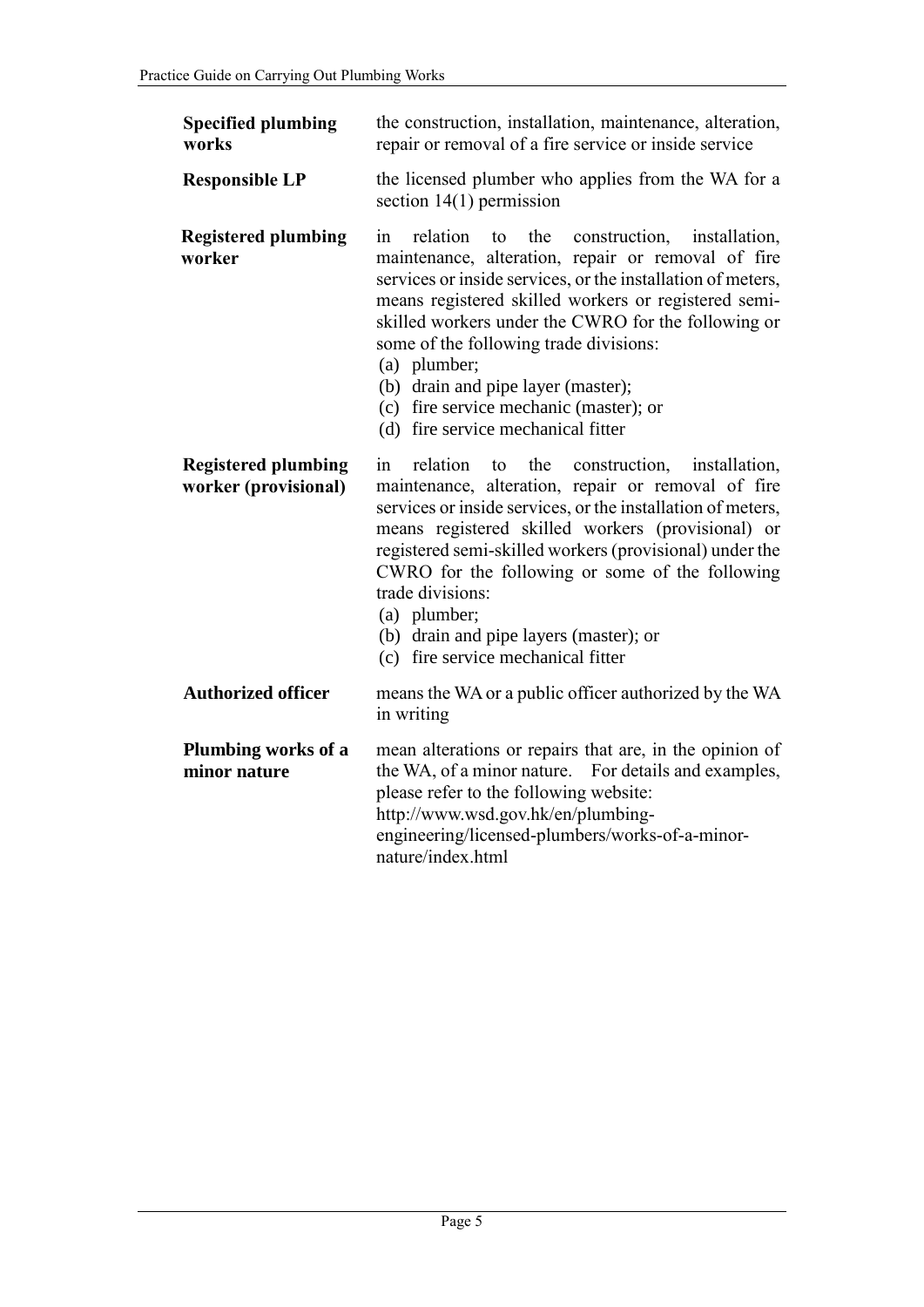| <b>Specified plumbing</b><br>works                 | the construction, installation, maintenance, alteration,<br>repair or removal of a fire service or inside service                                                                                                                                                                                                                                                                                                                                                                                                                                                                                                                                                                                                                                                                                                                                                                                                                                           |  |
|----------------------------------------------------|-------------------------------------------------------------------------------------------------------------------------------------------------------------------------------------------------------------------------------------------------------------------------------------------------------------------------------------------------------------------------------------------------------------------------------------------------------------------------------------------------------------------------------------------------------------------------------------------------------------------------------------------------------------------------------------------------------------------------------------------------------------------------------------------------------------------------------------------------------------------------------------------------------------------------------------------------------------|--|
| <b>Responsible LP</b>                              | the licensed plumber who applies from the WA for a<br>section $14(1)$ permission                                                                                                                                                                                                                                                                                                                                                                                                                                                                                                                                                                                                                                                                                                                                                                                                                                                                            |  |
| <b>Registered plumbing</b><br>worker               | relation<br>the construction,<br>in<br>to<br>installation,<br>maintenance, alteration, repair or removal of fire<br>services or inside services, or the installation of meters,<br>means registered skilled workers or registered semi-<br>skilled workers under the CWRO for the following or<br>some of the following trade divisions:<br>(a) plumber;<br>(b) drain and pipe layer (master);<br>(c) fire service mechanic (master); or<br>(d) fire service mechanical fitter<br>relation<br>the<br>construction,<br>in<br>to<br>installation,<br>maintenance, alteration, repair or removal of fire<br>services or inside services, or the installation of meters,<br>means registered skilled workers (provisional) or<br>registered semi-skilled workers (provisional) under the<br>CWRO for the following or some of the following<br>trade divisions:<br>(a) plumber;<br>(b) drain and pipe layers (master); or<br>(c) fire service mechanical fitter |  |
| <b>Registered plumbing</b><br>worker (provisional) |                                                                                                                                                                                                                                                                                                                                                                                                                                                                                                                                                                                                                                                                                                                                                                                                                                                                                                                                                             |  |
| <b>Authorized officer</b>                          | means the WA or a public officer authorized by the WA<br>in writing                                                                                                                                                                                                                                                                                                                                                                                                                                                                                                                                                                                                                                                                                                                                                                                                                                                                                         |  |
| Plumbing works of a<br>minor nature                | mean alterations or repairs that are, in the opinion of<br>the WA, of a minor nature. For details and examples,<br>please refer to the following website:<br>http://www.wsd.gov.hk/en/plumbing-<br>engineering/licensed-plumbers/works-of-a-minor-<br>nature/index.html                                                                                                                                                                                                                                                                                                                                                                                                                                                                                                                                                                                                                                                                                     |  |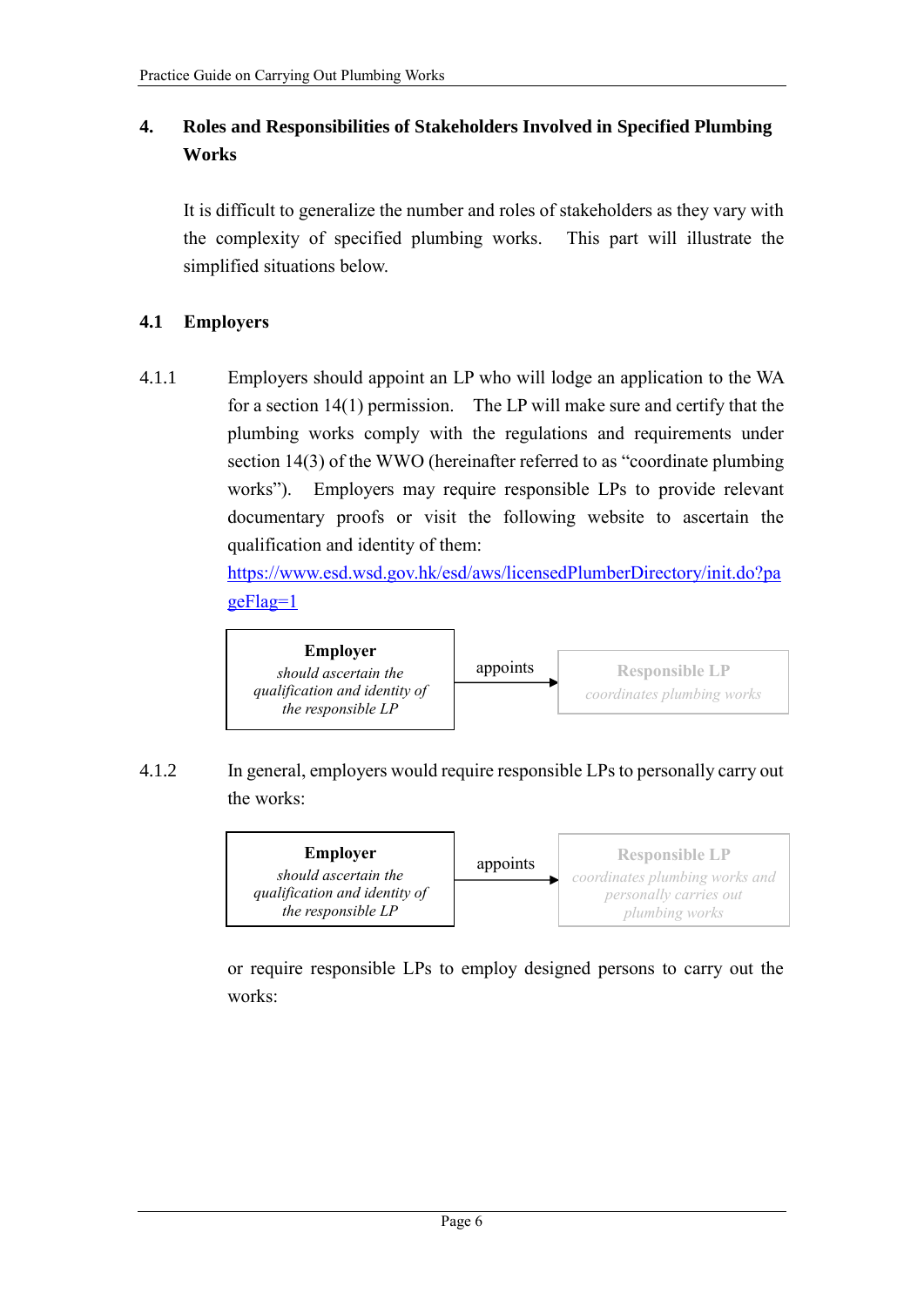## **4. Roles and Responsibilities of Stakeholders Involved in Specified Plumbing Works**

It is difficult to generalize the number and roles of stakeholders as they vary with the complexity of specified plumbing works. This part will illustrate the simplified situations below.

## **4.1 Employers**

4.1.1 Employers should appoint an LP who will lodge an application to the WA for a section 14(1) permission. The LP will make sure and certify that the plumbing works comply with the regulations and requirements under section 14(3) of the WWO (hereinafter referred to as "coordinate plumbing works"). Employers may require responsible LPs to provide relevant documentary proofs or visit the following website to ascertain the qualification and identity of them:

> [https://www.esd.wsd.gov.hk/esd/aws/licensedPlumberDirectory/init.do?pa](https://www.esd.wsd.gov.hk/esd/aws/licensedPlumberDirectory/init.do?pageFlag=1) [geFlag=1](https://www.esd.wsd.gov.hk/esd/aws/licensedPlumberDirectory/init.do?pageFlag=1)



4.1.2 In general, employers would require responsible LPs to personally carry out the works:



or require responsible LPs to employ designed persons to carry out the works: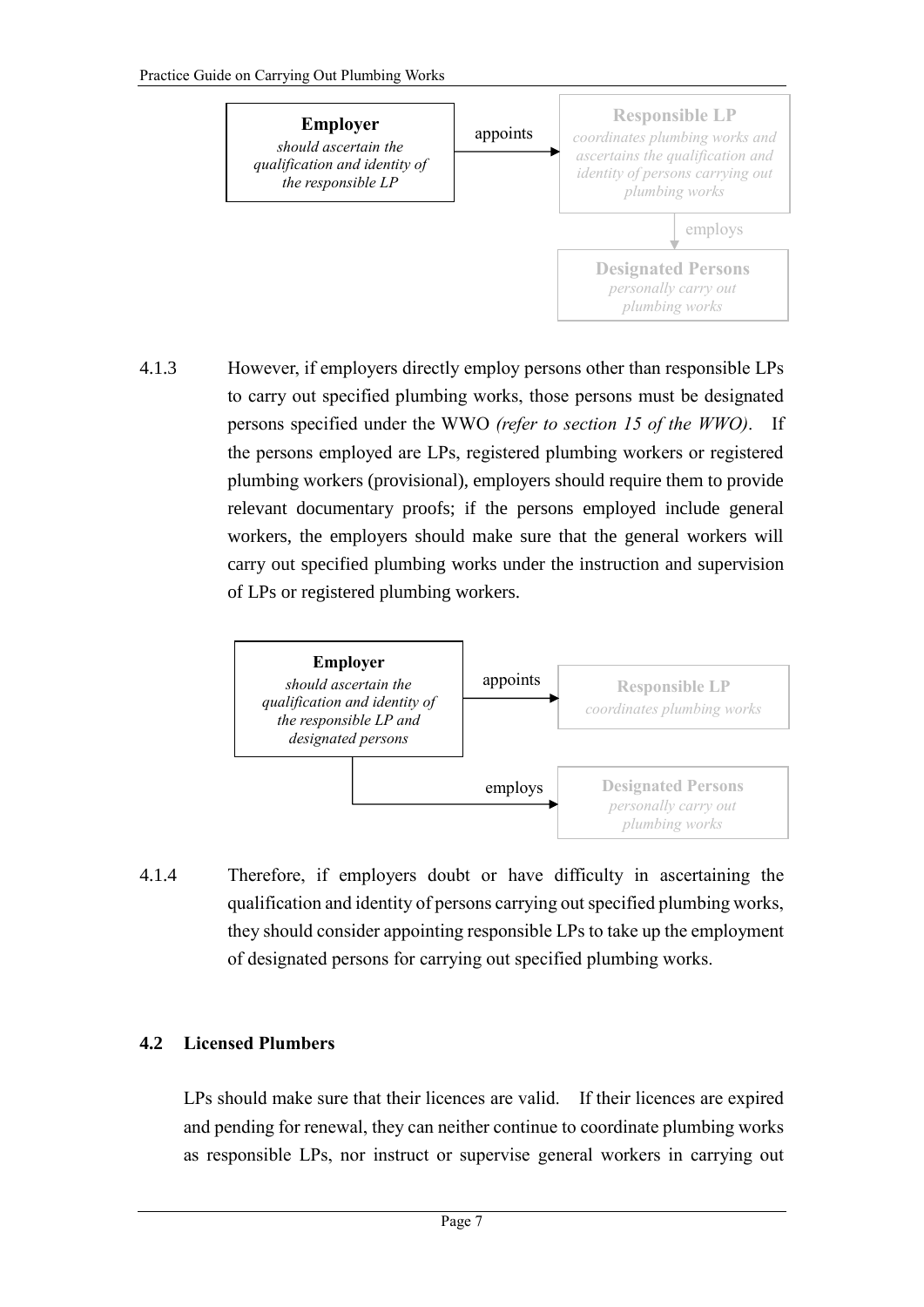

4.1.3 However, if employers directly employ persons other than responsible LPs to carry out specified plumbing works, those persons must be designated persons specified under the WWO *(refer to section 15 of the WWO)*. If the persons employed are LPs, registered plumbing workers or registered plumbing workers (provisional), employers should require them to provide relevant documentary proofs; if the persons employed include general workers, the employers should make sure that the general workers will carry out specified plumbing works under the instruction and supervision of LPs or registered plumbing workers.



4.1.4 Therefore, if employers doubt or have difficulty in ascertaining the qualification and identity of persons carrying out specified plumbing works, they should consider appointing responsible LPs to take up the employment of designated persons for carrying out specified plumbing works.

## **4.2 Licensed Plumbers**

LPs should make sure that their licences are valid. If their licences are expired and pending for renewal, they can neither continue to coordinate plumbing works as responsible LPs, nor instruct or supervise general workers in carrying out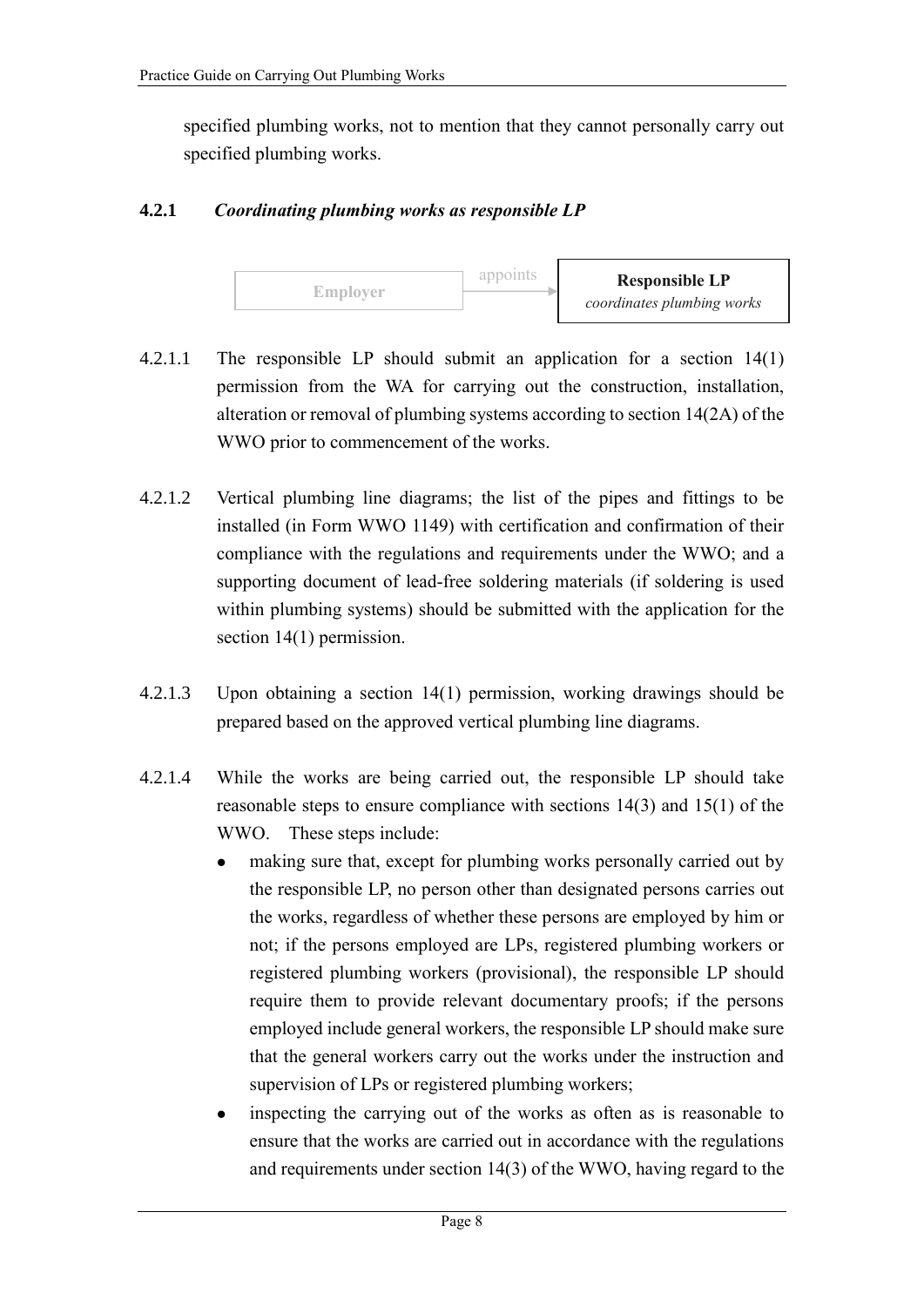specified plumbing works, not to mention that they cannot personally carry out specified plumbing works.

#### **4.2.1** *Coordinating plumbing works as responsible LP*



- 4.2.1.1 The responsible LP should submit an application for a section 14(1) permission from the WA for carrying out the construction, installation, alteration or removal of plumbing systems according to section 14(2A) of the WWO prior to commencement of the works.
- 4.2.1.2 Vertical plumbing line diagrams; the list of the pipes and fittings to be installed (in Form WWO 1149) with certification and confirmation of their compliance with the regulations and requirements under the WWO; and a supporting document of lead-free soldering materials (if soldering is used within plumbing systems) should be submitted with the application for the section 14(1) permission.
- 4.2.1.3 Upon obtaining a section 14(1) permission, working drawings should be prepared based on the approved vertical plumbing line diagrams.
- 4.2.1.4 While the works are being carried out, the responsible LP should take reasonable steps to ensure compliance with sections 14(3) and 15(1) of the WWO. These steps include:
	- making sure that, except for plumbing works personally carried out by the responsible LP, no person other than designated persons carries out the works, regardless of whether these persons are employed by him or not; if the persons employed are LPs, registered plumbing workers or registered plumbing workers (provisional), the responsible LP should require them to provide relevant documentary proofs; if the persons employed include general workers, the responsible LP should make sure that the general workers carry out the works under the instruction and supervision of LPs or registered plumbing workers;
	- inspecting the carrying out of the works as often as is reasonable to ensure that the works are carried out in accordance with the regulations and requirements under section 14(3) of the WWO, having regard to the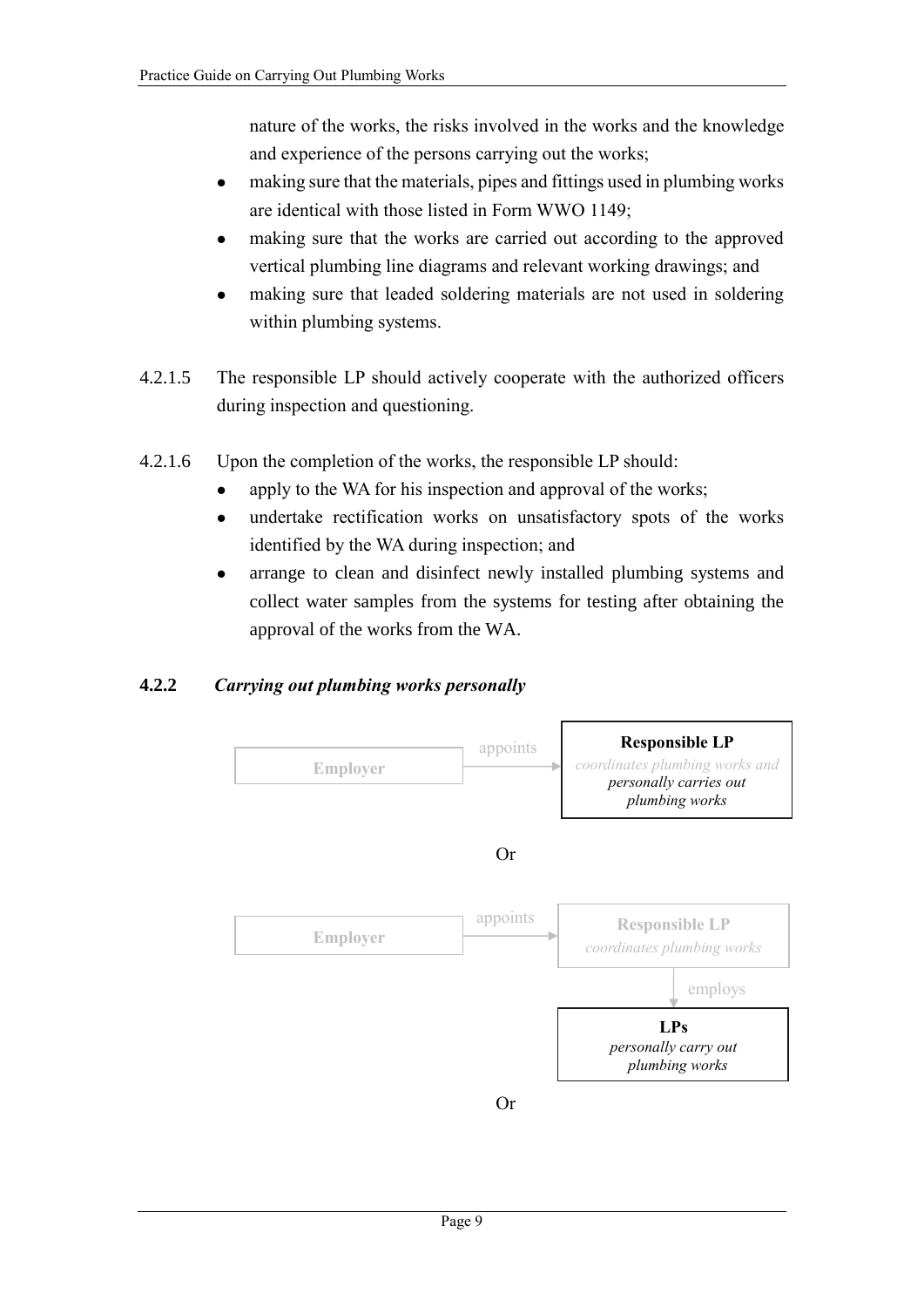nature of the works, the risks involved in the works and the knowledge and experience of the persons carrying out the works;

- making sure that the materials, pipes and fittings used in plumbing works are identical with those listed in Form WWO 1149;
- making sure that the works are carried out according to the approved vertical plumbing line diagrams and relevant working drawings; and
- making sure that leaded soldering materials are not used in soldering within plumbing systems.
- 4.2.1.5 The responsible LP should actively cooperate with the authorized officers during inspection and questioning.
- 4.2.1.6 Upon the completion of the works, the responsible LP should:
	- apply to the WA for his inspection and approval of the works;
	- undertake rectification works on unsatisfactory spots of the works identified by the WA during inspection; and
	- arrange to clean and disinfect newly installed plumbing systems and collect water samples from the systems for testing after obtaining the approval of the works from the WA.

## **4.2.2** *Carrying out plumbing works personally*

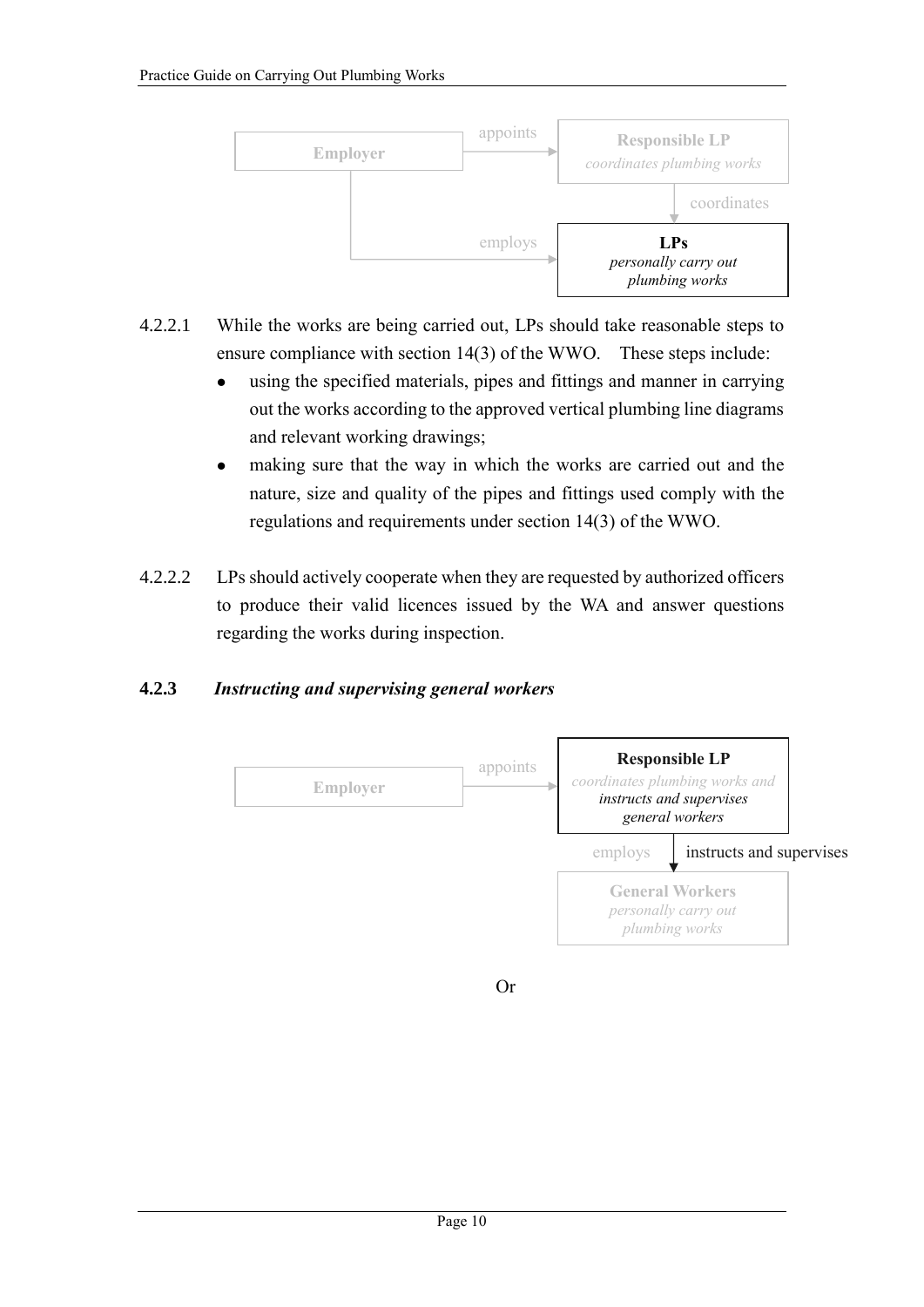

- 4.2.2.1 While the works are being carried out, LPs should take reasonable steps to ensure compliance with section 14(3) of the WWO. These steps include:
	- using the specified materials, pipes and fittings and manner in carrying out the works according to the approved vertical plumbing line diagrams and relevant working drawings;
	- making sure that the way in which the works are carried out and the nature, size and quality of the pipes and fittings used comply with the regulations and requirements under section 14(3) of the WWO.
- 4.2.2.2 LPs should actively cooperate when they are requested by authorized officers to produce their valid licences issued by the WA and answer questions regarding the works during inspection.

## **4.2.3** *Instructing and supervising general workers*



Or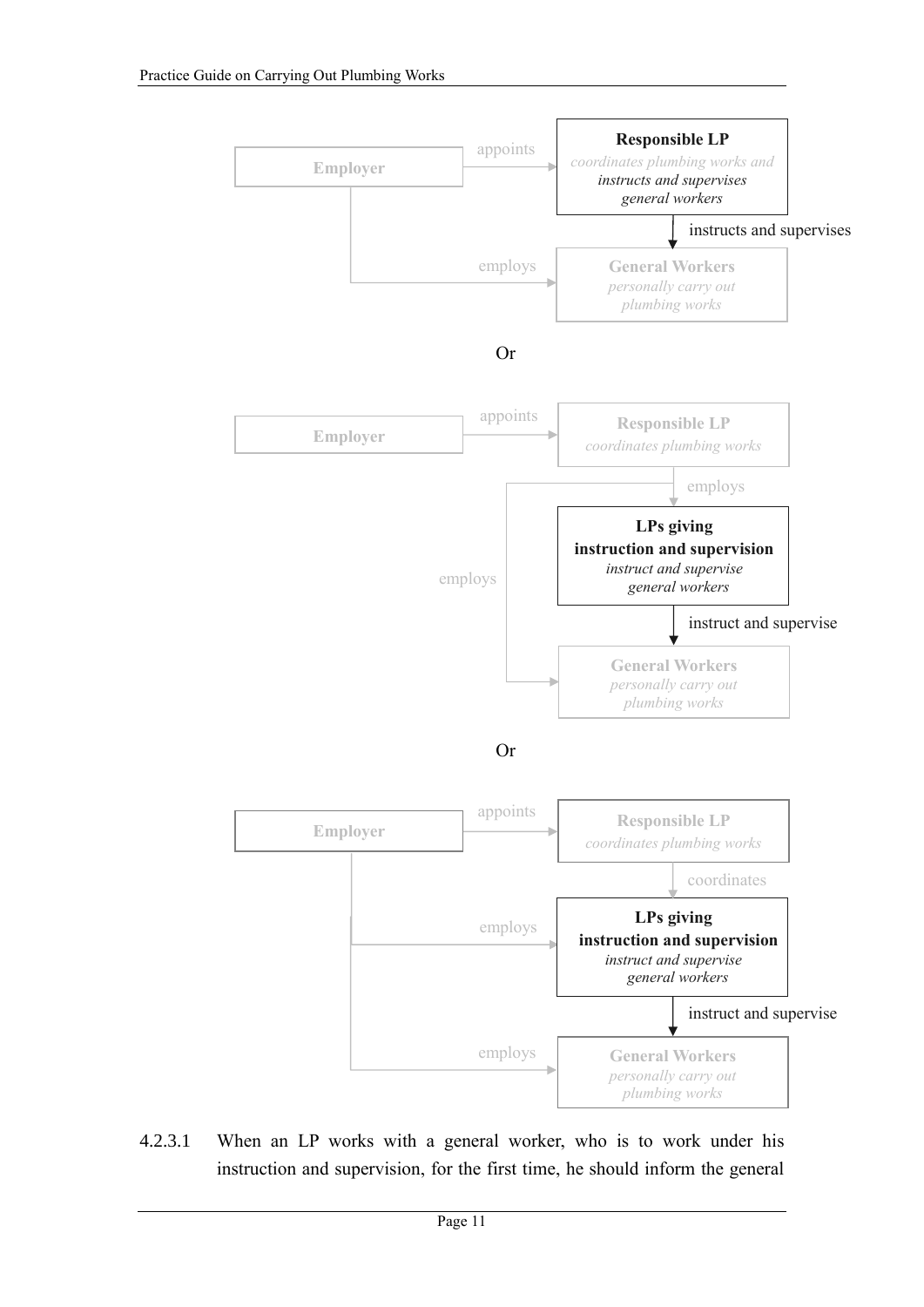

4.2.3.1 When an LP works with a general worker, who is to work under his instruction and supervision, for the first time, he should inform the general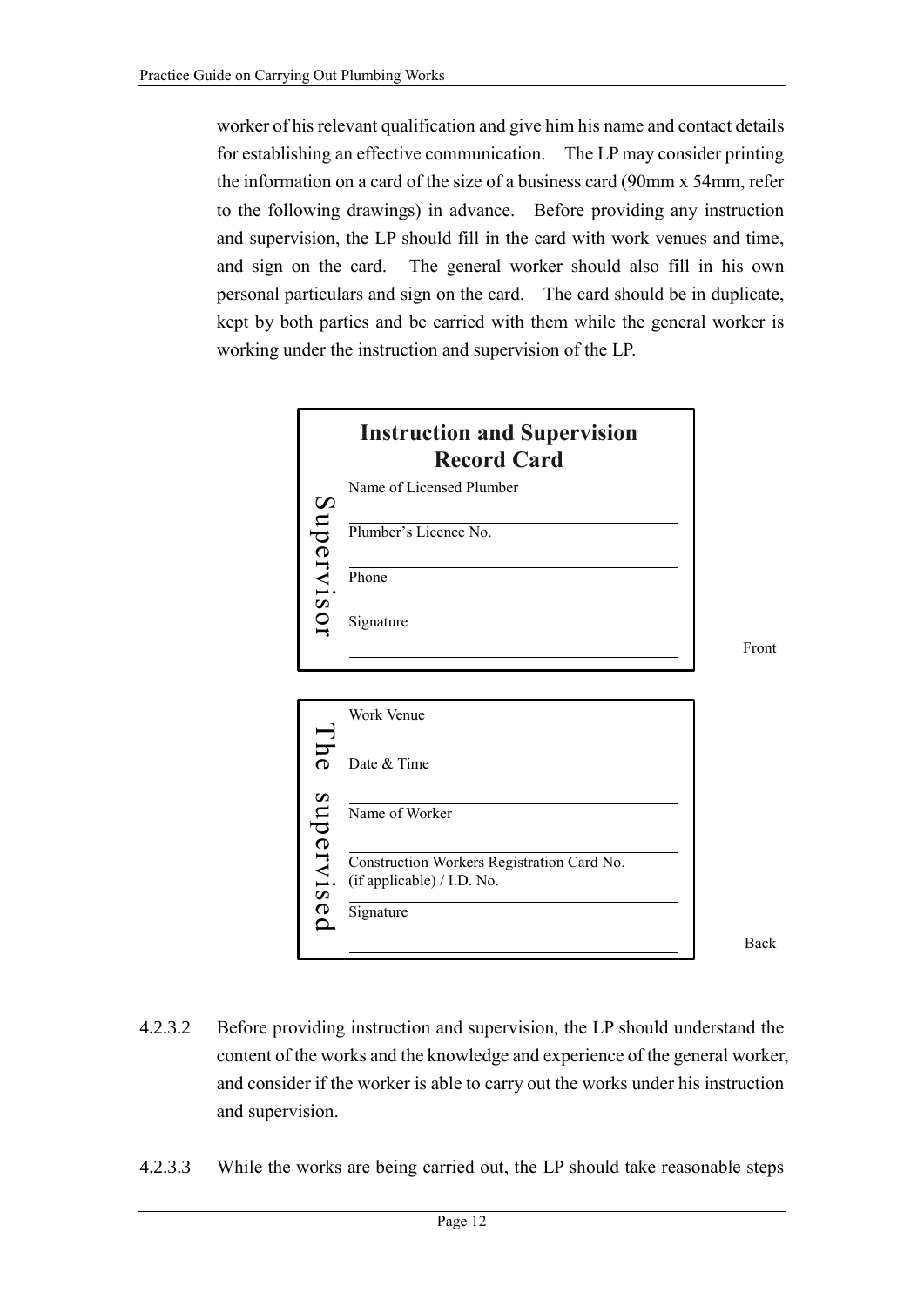worker of his relevant qualification and give him his name and contact details for establishing an effective communication. The LP may consider printing the information on a card of the size of a business card (90mm x 54mm, refer to the following drawings) in advance. Before providing any instruction and supervision, the LP should fill in the card with work venues and time, and sign on the card. The general worker should also fill in his own personal particulars and sign on the card. The card should be in duplicate, kept by both parties and be carried with them while the general worker is working under the instruction and supervision of the LP.



Front



Back

- 4.2.3.2 Before providing instruction and supervision, the LP should understand the content of the works and the knowledge and experience of the general worker, and consider if the worker is able to carry out the works under his instruction and supervision.
- 4.2.3.3 While the works are being carried out, the LP should take reasonable steps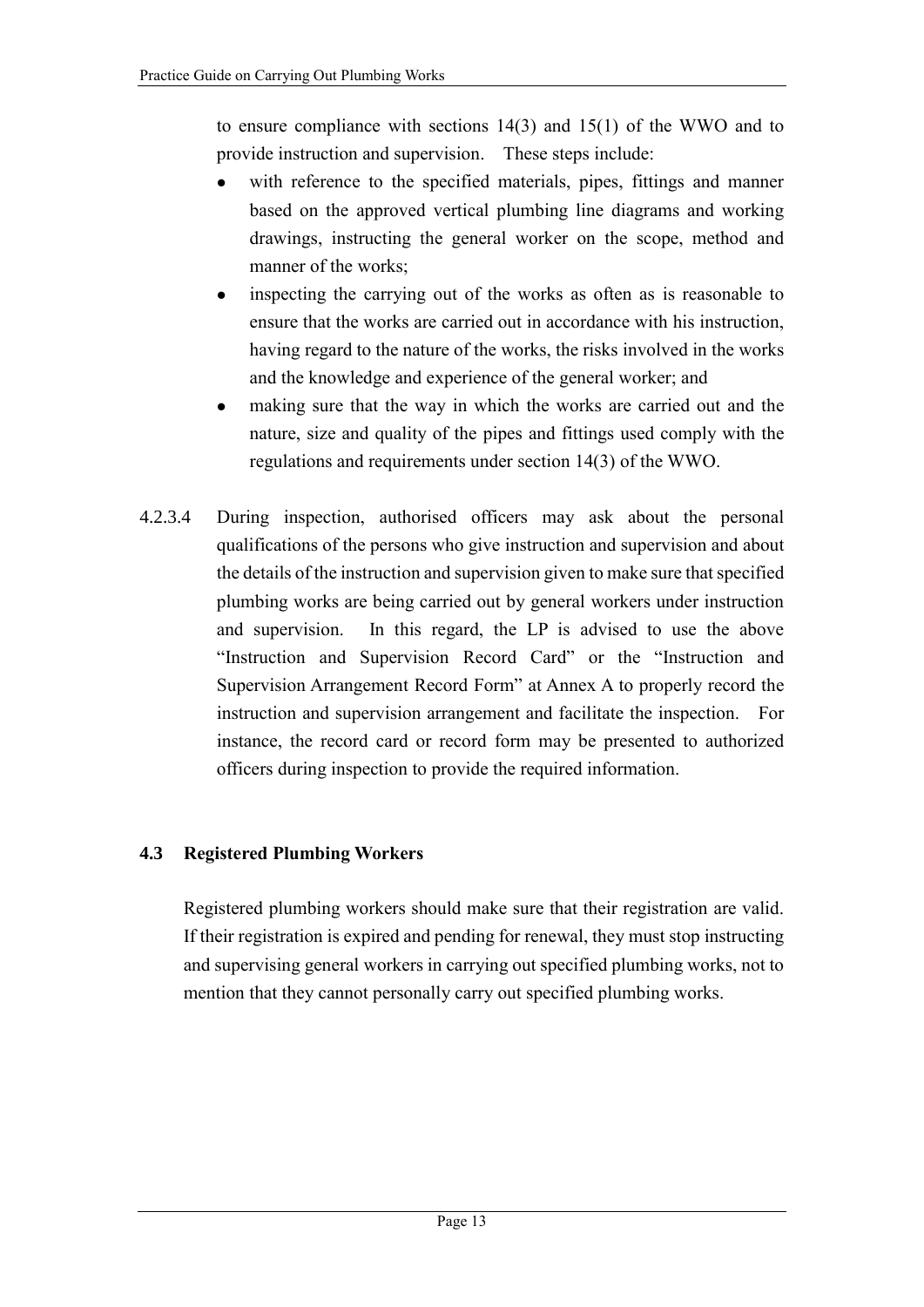to ensure compliance with sections 14(3) and 15(1) of the WWO and to provide instruction and supervision. These steps include:

- with reference to the specified materials, pipes, fittings and manner based on the approved vertical plumbing line diagrams and working drawings, instructing the general worker on the scope, method and manner of the works;
- inspecting the carrying out of the works as often as is reasonable to ensure that the works are carried out in accordance with his instruction, having regard to the nature of the works, the risks involved in the works and the knowledge and experience of the general worker; and
- making sure that the way in which the works are carried out and the nature, size and quality of the pipes and fittings used comply with the regulations and requirements under section 14(3) of the WWO.
- 4.2.3.4 During inspection, authorised officers may ask about the personal qualifications of the persons who give instruction and supervision and about the details of the instruction and supervision given to make sure that specified plumbing works are being carried out by general workers under instruction and supervision. In this regard, the LP is advised to use the above "Instruction and Supervision Record Card" or the "Instruction and Supervision Arrangement Record Form" at Annex A to properly record the instruction and supervision arrangement and facilitate the inspection. For instance, the record card or record form may be presented to authorized officers during inspection to provide the required information.

## **4.3 Registered Plumbing Workers**

Registered plumbing workers should make sure that their registration are valid. If their registration is expired and pending for renewal, they must stop instructing and supervising general workers in carrying out specified plumbing works, not to mention that they cannot personally carry out specified plumbing works.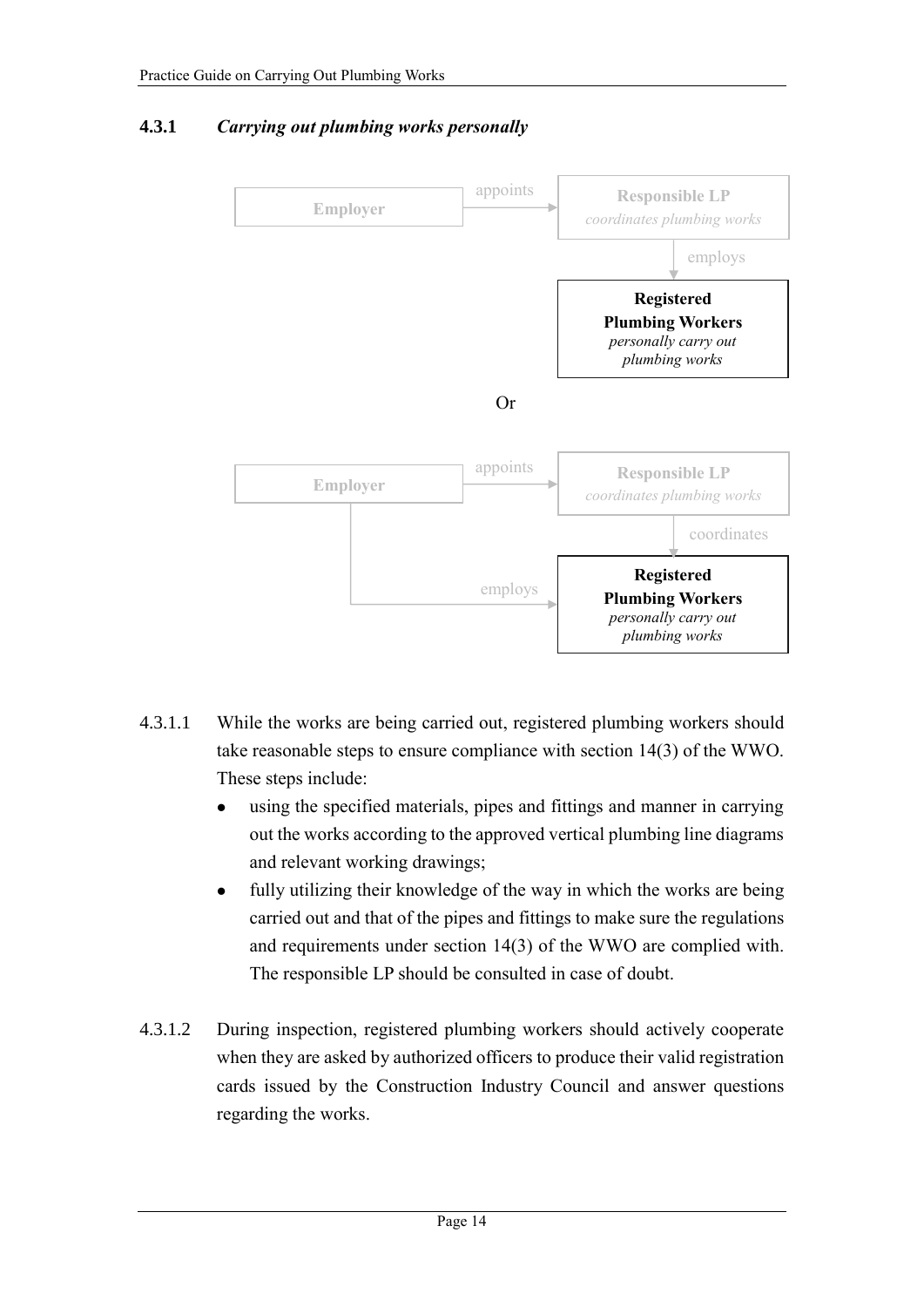## **4.3.1** *Carrying out plumbing works personally*



- 4.3.1.1 While the works are being carried out, registered plumbing workers should take reasonable steps to ensure compliance with section 14(3) of the WWO. These steps include:
	- using the specified materials, pipes and fittings and manner in carrying out the works according to the approved vertical plumbing line diagrams and relevant working drawings;
	- fully utilizing their knowledge of the way in which the works are being carried out and that of the pipes and fittings to make sure the regulations and requirements under section 14(3) of the WWO are complied with. The responsible LP should be consulted in case of doubt.
- 4.3.1.2 During inspection, registered plumbing workers should actively cooperate when they are asked by authorized officers to produce their valid registration cards issued by the Construction Industry Council and answer questions regarding the works.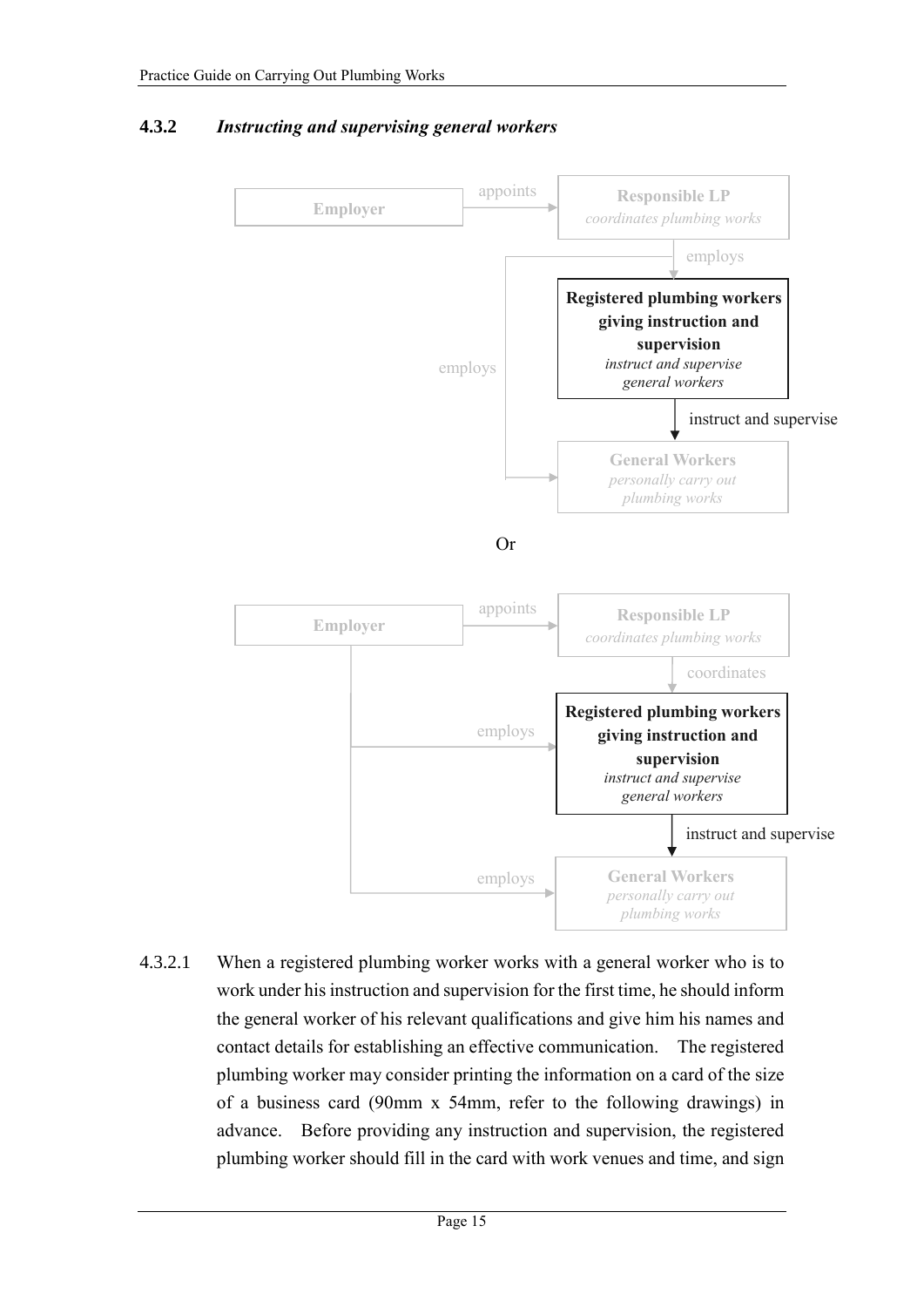

## **4.3.2** *Instructing and supervising general workers*

4.3.2.1 When a registered plumbing worker works with a general worker who is to work under his instruction and supervision for the first time, he should inform the general worker of his relevant qualifications and give him his names and contact details for establishing an effective communication. The registered plumbing worker may consider printing the information on a card of the size of a business card (90mm x 54mm, refer to the following drawings) in advance. Before providing any instruction and supervision, the registered plumbing worker should fill in the card with work venues and time, and sign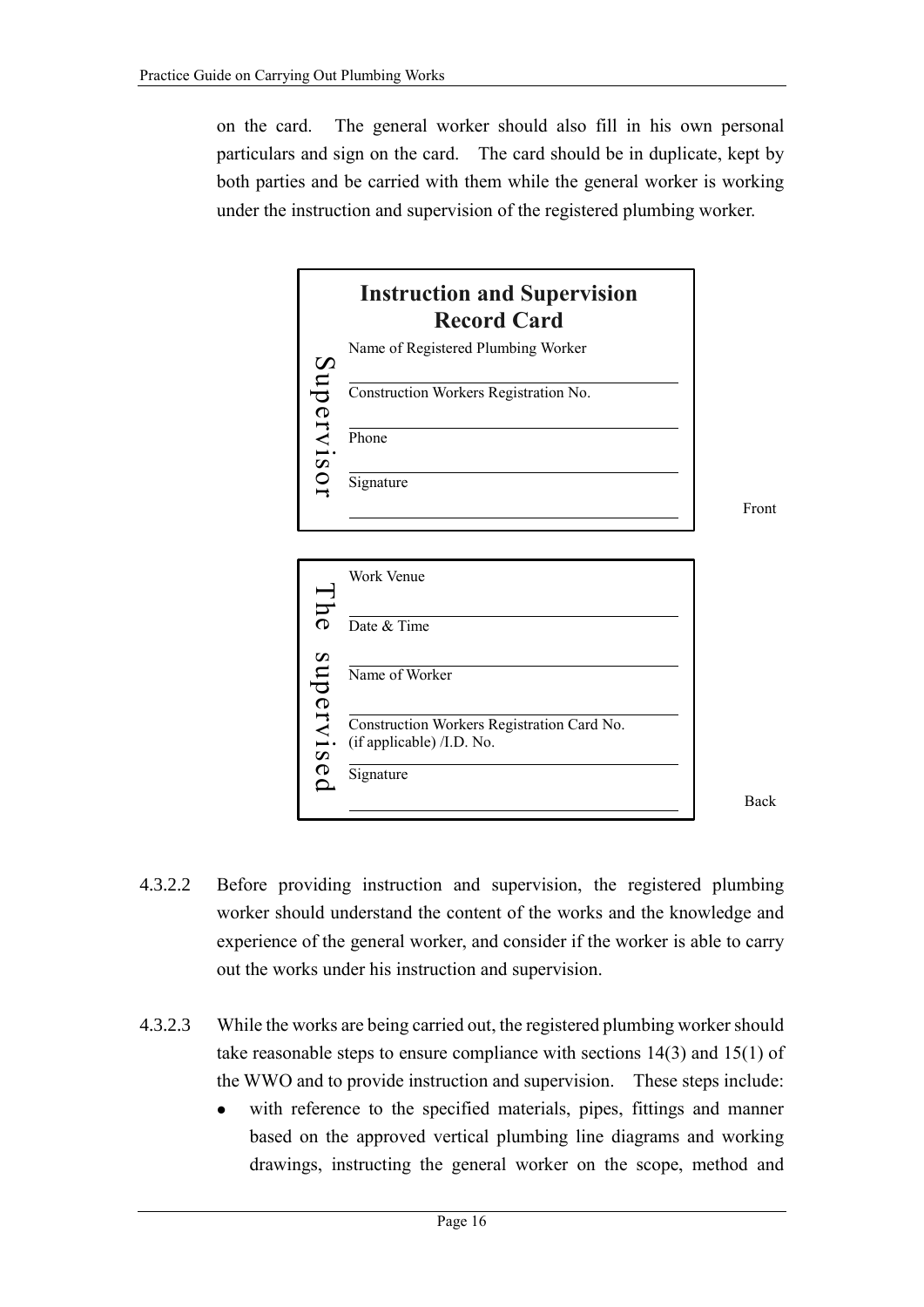on the card. The general worker should also fill in his own personal particulars and sign on the card. The card should be in duplicate, kept by both parties and be carried with them while the general worker is working under the instruction and supervision of the registered plumbing worker.





Back

Front

- 4.3.2.2 Before providing instruction and supervision, the registered plumbing worker should understand the content of the works and the knowledge and experience of the general worker, and consider if the worker is able to carry out the works under his instruction and supervision.
- 4.3.2.3 While the works are being carried out, the registered plumbing worker should take reasonable steps to ensure compliance with sections 14(3) and 15(1) of the WWO and to provide instruction and supervision. These steps include:
	- with reference to the specified materials, pipes, fittings and manner based on the approved vertical plumbing line diagrams and working drawings, instructing the general worker on the scope, method and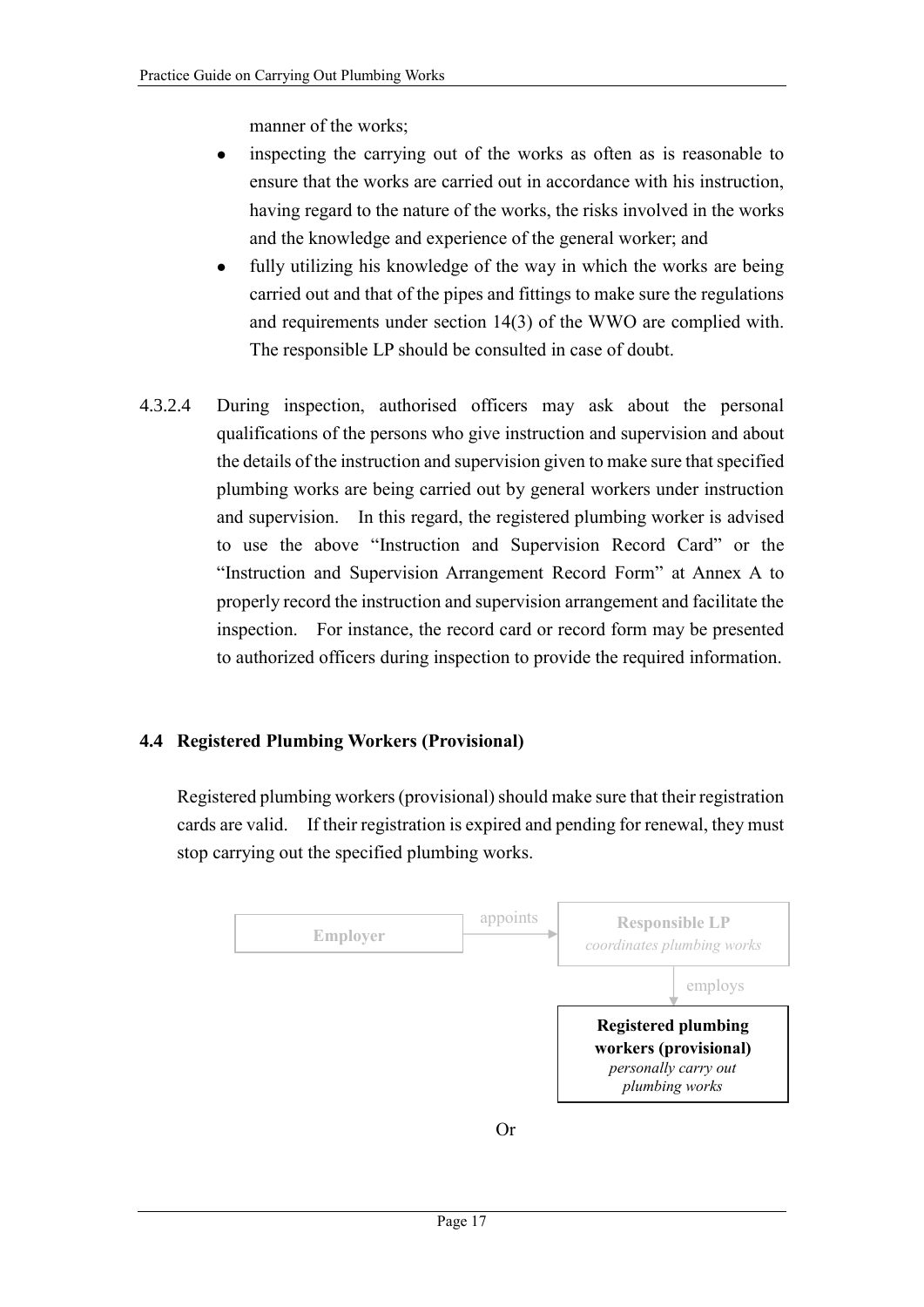manner of the works;

- inspecting the carrying out of the works as often as is reasonable to ensure that the works are carried out in accordance with his instruction, having regard to the nature of the works, the risks involved in the works and the knowledge and experience of the general worker; and
- fully utilizing his knowledge of the way in which the works are being carried out and that of the pipes and fittings to make sure the regulations and requirements under section 14(3) of the WWO are complied with. The responsible LP should be consulted in case of doubt.
- 4.3.2.4 During inspection, authorised officers may ask about the personal qualifications of the persons who give instruction and supervision and about the details of the instruction and supervision given to make sure that specified plumbing works are being carried out by general workers under instruction and supervision. In this regard, the registered plumbing worker is advised to use the above "Instruction and Supervision Record Card" or the "Instruction and Supervision Arrangement Record Form" at Annex A to properly record the instruction and supervision arrangement and facilitate the inspection. For instance, the record card or record form may be presented to authorized officers during inspection to provide the required information.

## **4.4 Registered Plumbing Workers (Provisional)**

Registered plumbing workers (provisional) should make sure that their registration cards are valid. If their registration is expired and pending for renewal, they must stop carrying out the specified plumbing works.

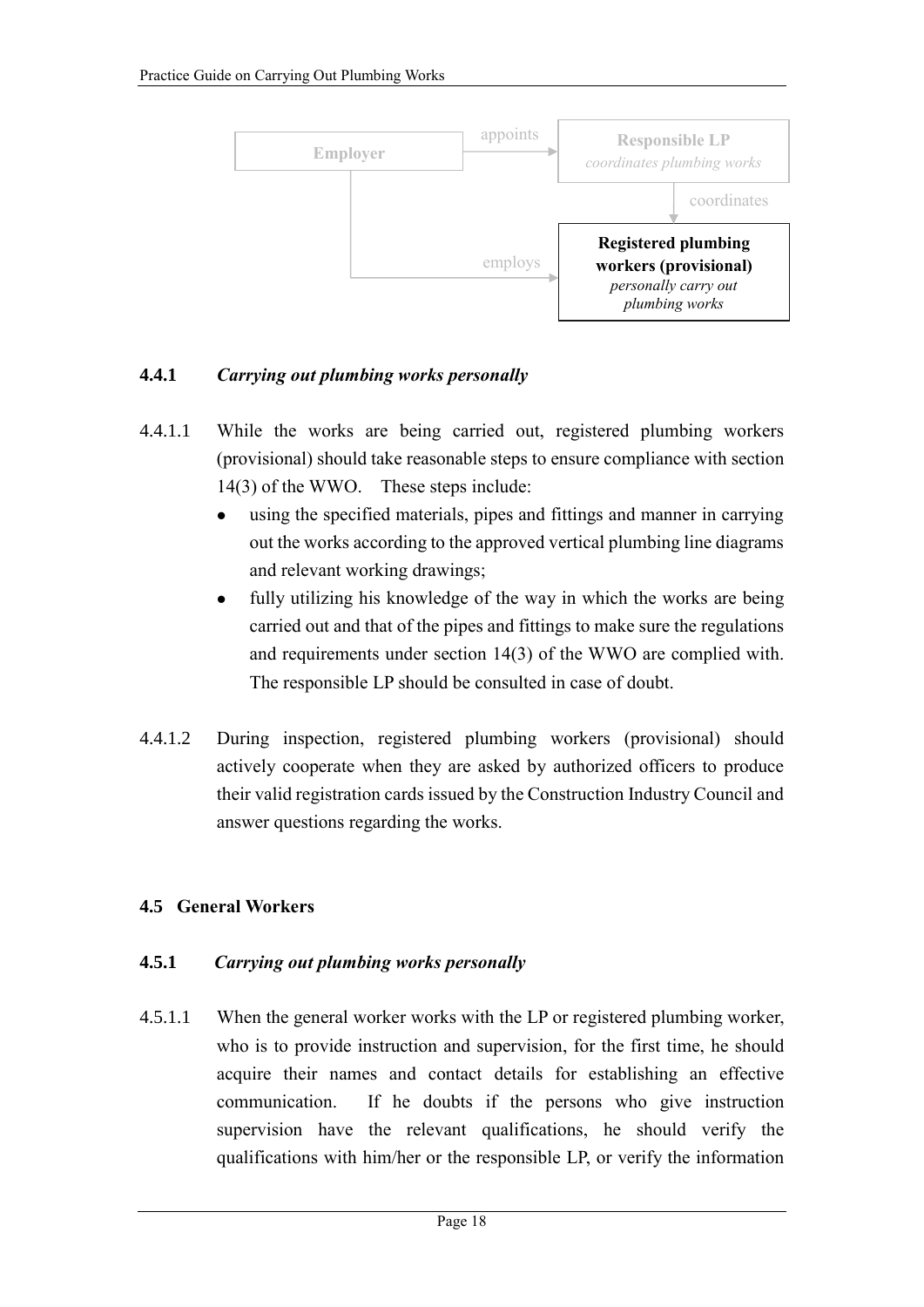

## **4.4.1** *Carrying out plumbing works personally*

- 4.4.1.1 While the works are being carried out, registered plumbing workers (provisional) should take reasonable steps to ensure compliance with section 14(3) of the WWO. These steps include:
	- using the specified materials, pipes and fittings and manner in carrying out the works according to the approved vertical plumbing line diagrams and relevant working drawings;
	- fully utilizing his knowledge of the way in which the works are being carried out and that of the pipes and fittings to make sure the regulations and requirements under section 14(3) of the WWO are complied with. The responsible LP should be consulted in case of doubt.
- 4.4.1.2 During inspection, registered plumbing workers (provisional) should actively cooperate when they are asked by authorized officers to produce their valid registration cards issued by the Construction Industry Council and answer questions regarding the works.

## **4.5 General Workers**

## **4.5.1** *Carrying out plumbing works personally*

4.5.1.1 When the general worker works with the LP or registered plumbing worker, who is to provide instruction and supervision, for the first time, he should acquire their names and contact details for establishing an effective communication. If he doubts if the persons who give instruction supervision have the relevant qualifications, he should verify the qualifications with him/her or the responsible LP, or verify the information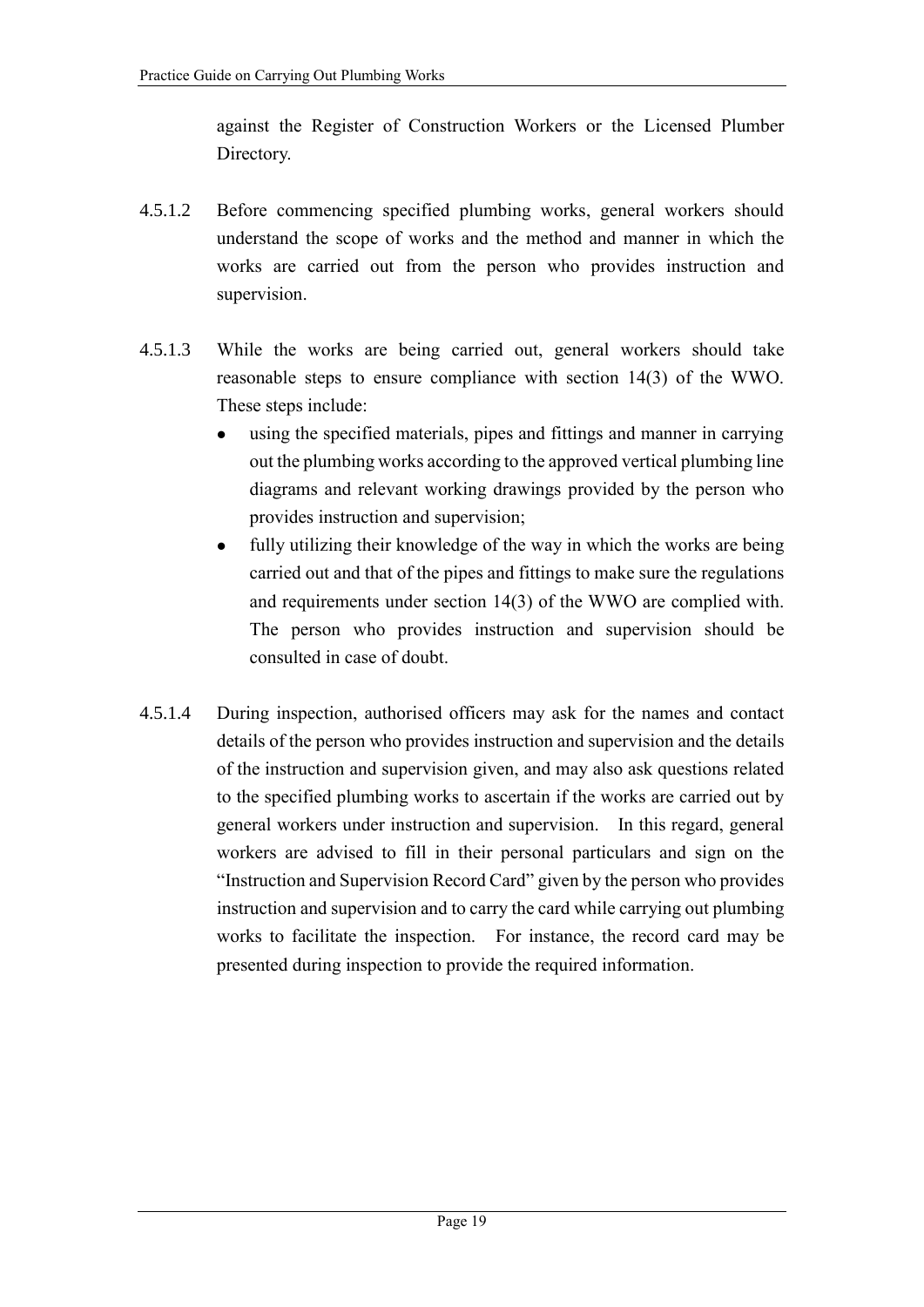against the Register of Construction Workers or the Licensed Plumber Directory.

- 4.5.1.2 Before commencing specified plumbing works, general workers should understand the scope of works and the method and manner in which the works are carried out from the person who provides instruction and supervision.
- 4.5.1.3 While the works are being carried out, general workers should take reasonable steps to ensure compliance with section 14(3) of the WWO. These steps include:
	- using the specified materials, pipes and fittings and manner in carrying out the plumbing works according to the approved vertical plumbing line diagrams and relevant working drawings provided by the person who provides instruction and supervision;
	- fully utilizing their knowledge of the way in which the works are being carried out and that of the pipes and fittings to make sure the regulations and requirements under section 14(3) of the WWO are complied with. The person who provides instruction and supervision should be consulted in case of doubt.
- 4.5.1.4 During inspection, authorised officers may ask for the names and contact details of the person who provides instruction and supervision and the details of the instruction and supervision given, and may also ask questions related to the specified plumbing works to ascertain if the works are carried out by general workers under instruction and supervision. In this regard, general workers are advised to fill in their personal particulars and sign on the "Instruction and Supervision Record Card" given by the person who provides instruction and supervision and to carry the card while carrying out plumbing works to facilitate the inspection. For instance, the record card may be presented during inspection to provide the required information.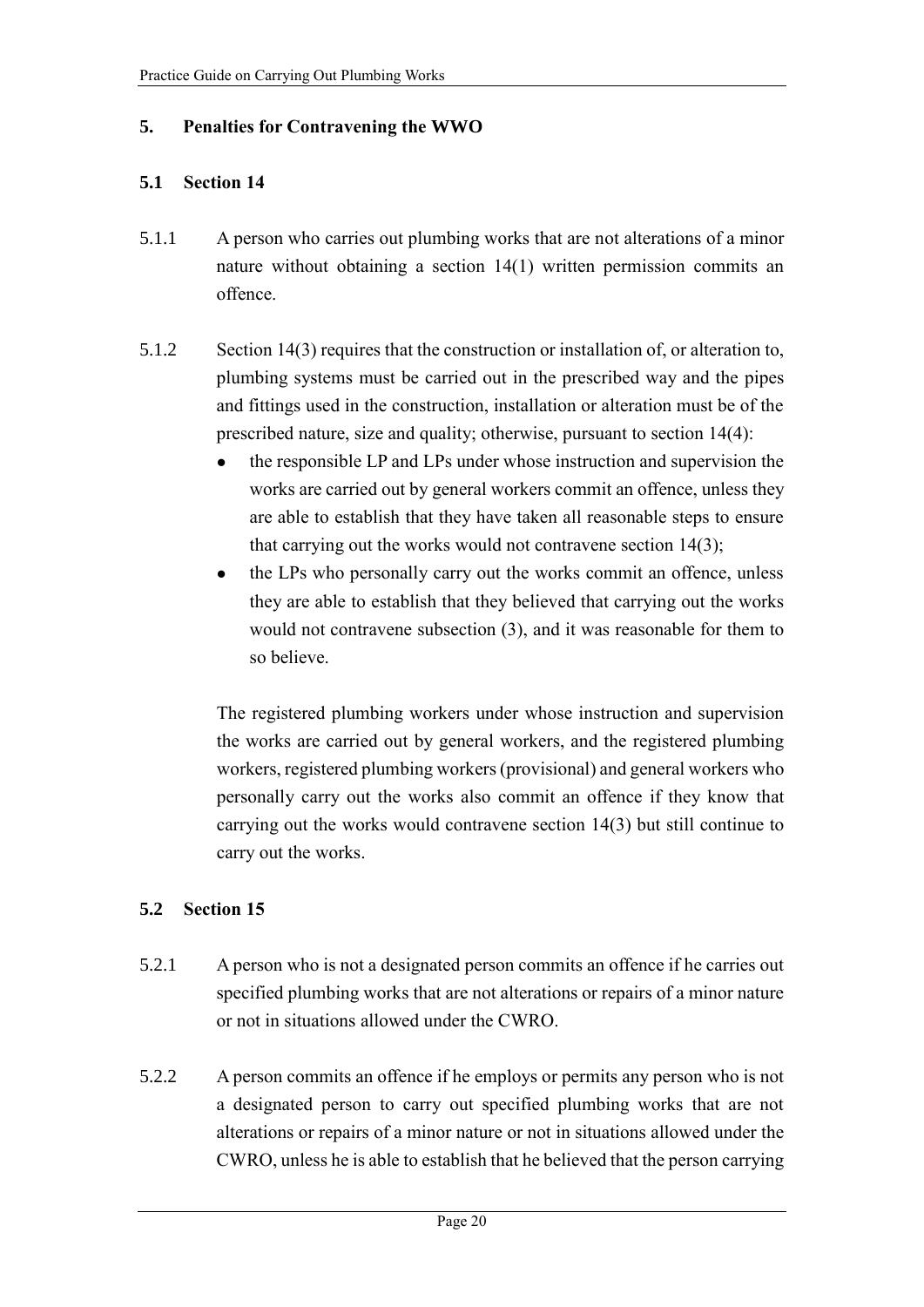## **5. Penalties for Contravening the WWO**

## **5.1 Section 14**

- 5.1.1 A person who carries out plumbing works that are not alterations of a minor nature without obtaining a section 14(1) written permission commits an offence.
- 5.1.2 Section 14(3) requires that the construction or installation of, or alteration to, plumbing systems must be carried out in the prescribed way and the pipes and fittings used in the construction, installation or alteration must be of the prescribed nature, size and quality; otherwise, pursuant to section 14(4):
	- the responsible LP and LPs under whose instruction and supervision the works are carried out by general workers commit an offence, unless they are able to establish that they have taken all reasonable steps to ensure that carrying out the works would not contravene section 14(3);
	- the LPs who personally carry out the works commit an offence, unless they are able to establish that they believed that carrying out the works would not contravene subsection (3), and it was reasonable for them to so believe.

The registered plumbing workers under whose instruction and supervision the works are carried out by general workers, and the registered plumbing workers, registered plumbing workers (provisional) and general workers who personally carry out the works also commit an offence if they know that carrying out the works would contravene section 14(3) but still continue to carry out the works.

## **5.2 Section 15**

- 5.2.1 A person who is not a designated person commits an offence if he carries out specified plumbing works that are not alterations or repairs of a minor nature or not in situations allowed under the CWRO.
- 5.2.2 A person commits an offence if he employs or permits any person who is not a designated person to carry out specified plumbing works that are not alterations or repairs of a minor nature or not in situations allowed under the CWRO, unless he is able to establish that he believed that the person carrying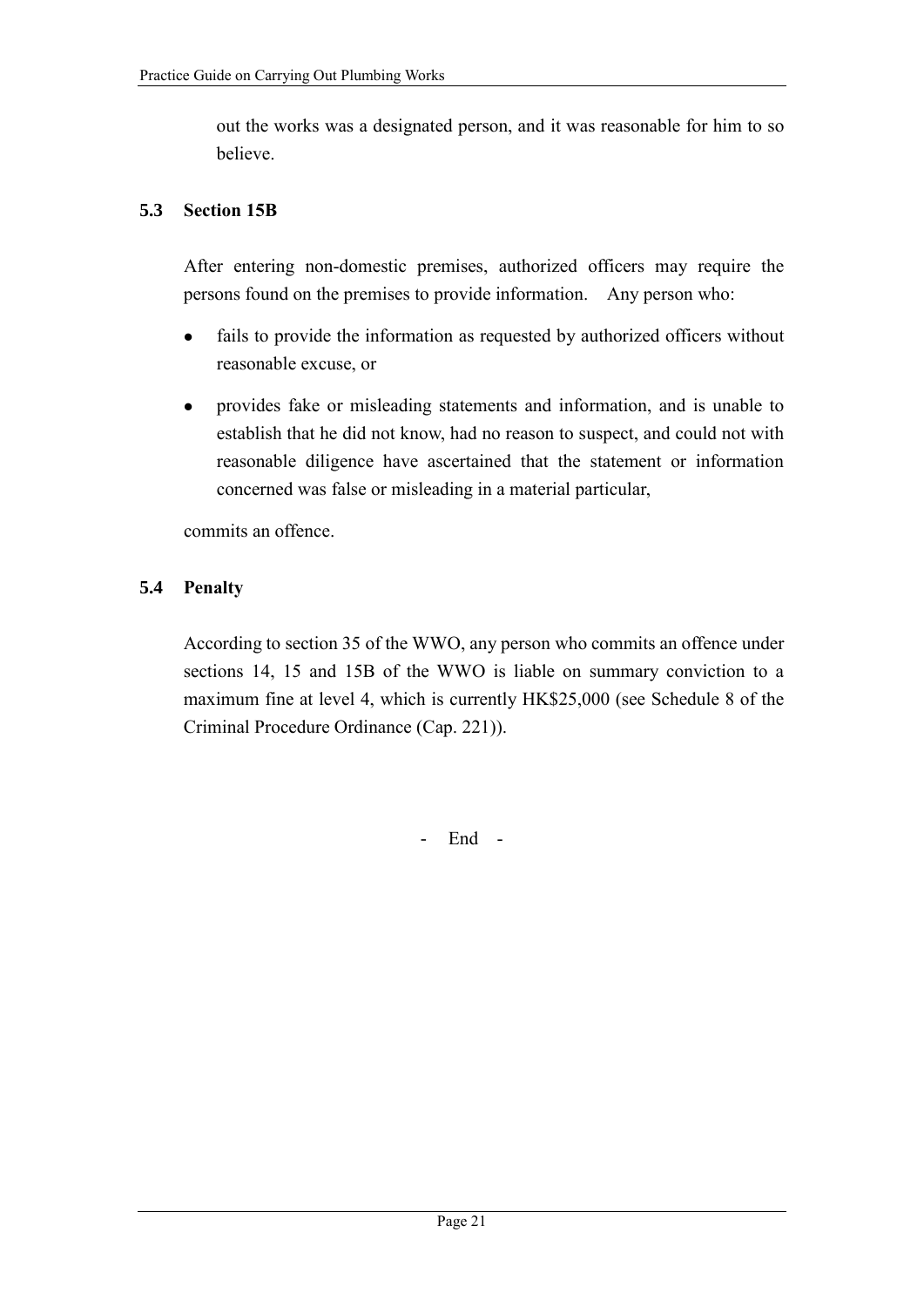out the works was a designated person, and it was reasonable for him to so believe.

#### **5.3 Section 15B**

After entering non-domestic premises, authorized officers may require the persons found on the premises to provide information. Any person who:

- fails to provide the information as requested by authorized officers without reasonable excuse, or
- provides fake or misleading statements and information, and is unable to establish that he did not know, had no reason to suspect, and could not with reasonable diligence have ascertained that the statement or information concerned was false or misleading in a material particular,

commits an offence.

#### **5.4 Penalty**

According to section 35 of the WWO, any person who commits an offence under sections 14, 15 and 15B of the WWO is liable on summary conviction to a maximum fine at level 4, which is currently HK\$25,000 (see Schedule 8 of the Criminal Procedure Ordinance (Cap. 221)).

- End -